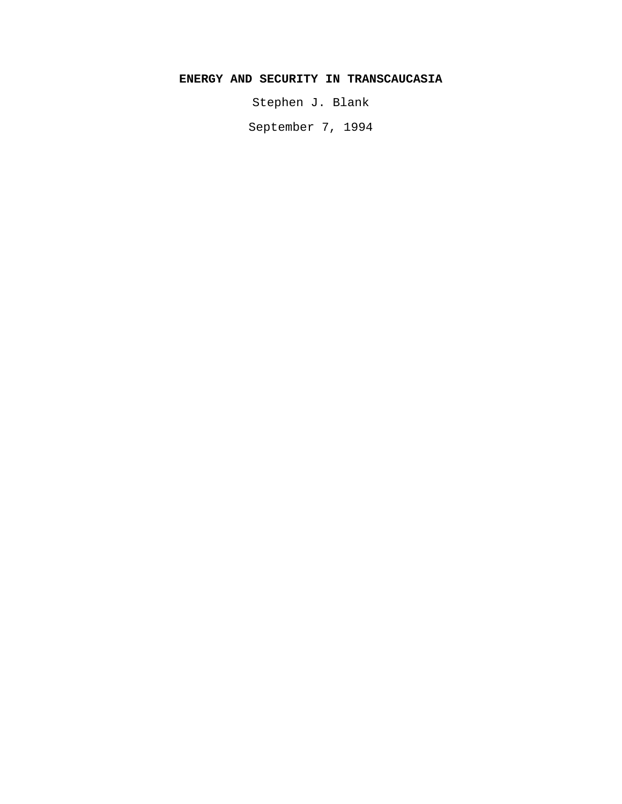# **ENERGY AND SECURITY IN TRANSCAUCASIA**

Stephen J. Blank

September 7, 1994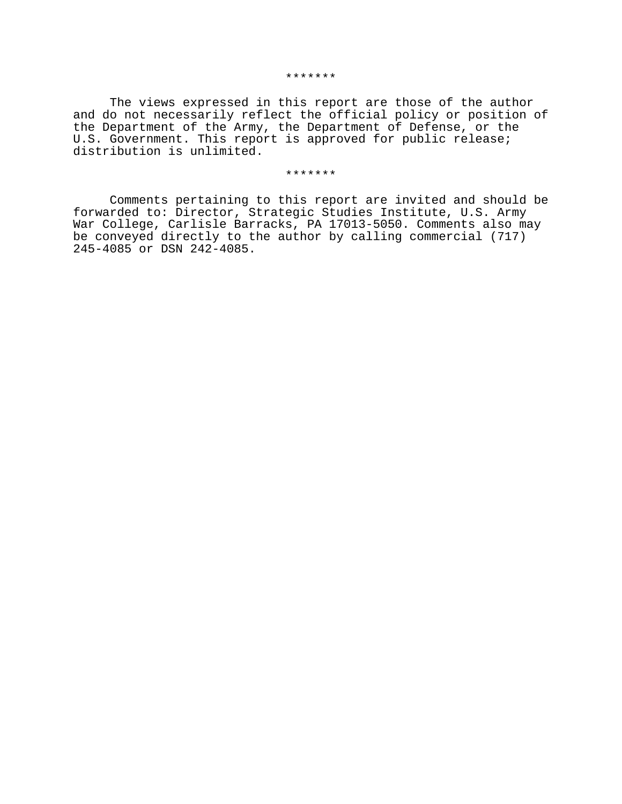The views expressed in this report are those of the author and do not necessarily reflect the official policy or position of the Department of the Army, the Department of Defense, or the U.S. Government. This report is approved for public release; distribution is unlimited.

#### \*\*\*\*\*\*\*

Comments pertaining to this report are invited and should be forwarded to: Director, Strategic Studies Institute, U.S. Army War College, Carlisle Barracks, PA 17013-5050. Comments also may be conveyed directly to the author by calling commercial (717) 245-4085 or DSN 242-4085.

#### \*\*\*\*\*\*\*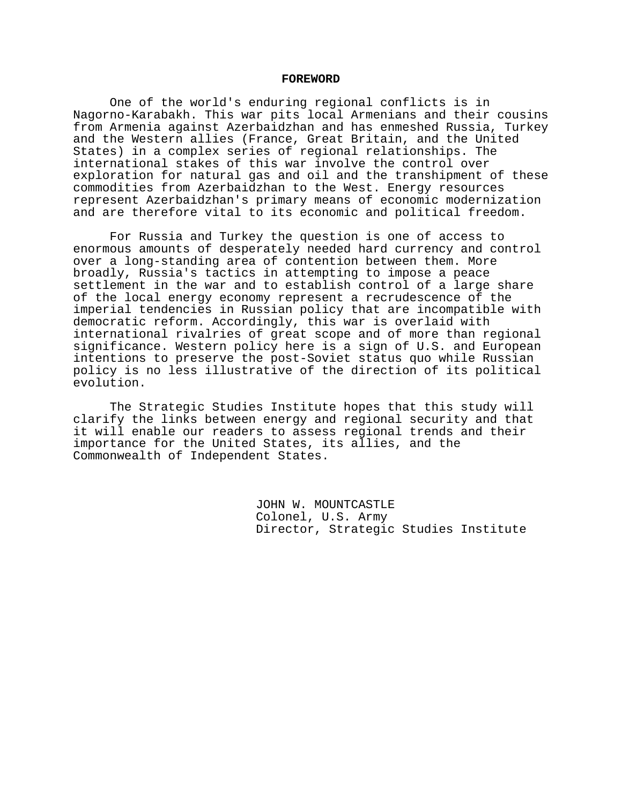## **FOREWORD**

One of the world's enduring regional conflicts is in Nagorno-Karabakh. This war pits local Armenians and their cousins from Armenia against Azerbaidzhan and has enmeshed Russia, Turkey and the Western allies (France, Great Britain, and the United States) in a complex series of regional relationships. The international stakes of this war involve the control over exploration for natural gas and oil and the transhipment of these commodities from Azerbaidzhan to the West. Energy resources represent Azerbaidzhan's primary means of economic modernization and are therefore vital to its economic and political freedom.

For Russia and Turkey the question is one of access to enormous amounts of desperately needed hard currency and control over a long-standing area of contention between them. More broadly, Russia's tactics in attempting to impose a peace settlement in the war and to establish control of a large share of the local energy economy represent a recrudescence of the imperial tendencies in Russian policy that are incompatible with democratic reform. Accordingly, this war is overlaid with international rivalries of great scope and of more than regional significance. Western policy here is a sign of U.S. and European intentions to preserve the post-Soviet status quo while Russian policy is no less illustrative of the direction of its political evolution.

The Strategic Studies Institute hopes that this study will clarify the links between energy and regional security and that it will enable our readers to assess regional trends and their importance for the United States, its allies, and the Commonwealth of Independent States.

> JOHN W. MOUNTCASTLE Colonel, U.S. Army Director, Strategic Studies Institute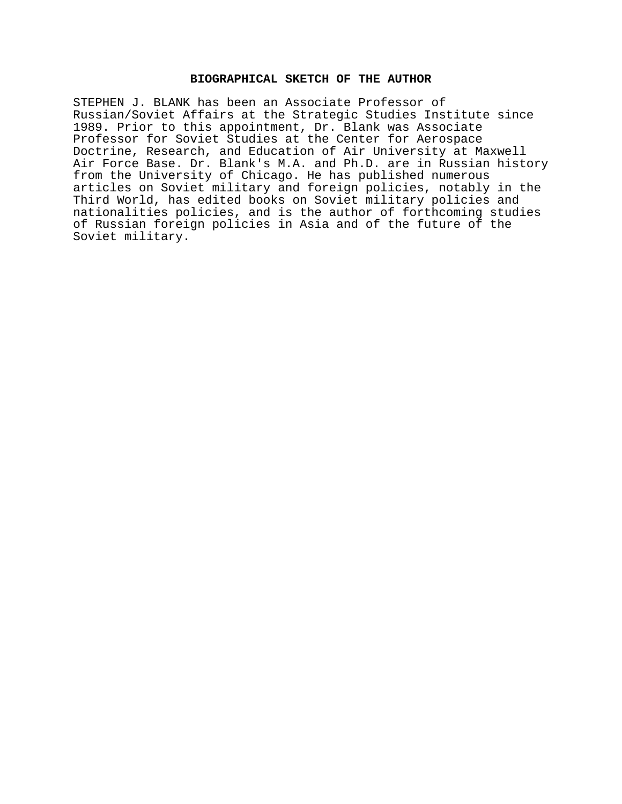# **BIOGRAPHICAL SKETCH OF THE AUTHOR**

STEPHEN J. BLANK has been an Associate Professor of Russian/Soviet Affairs at the Strategic Studies Institute since 1989. Prior to this appointment, Dr. Blank was Associate Professor for Soviet Studies at the Center for Aerospace Doctrine, Research, and Education of Air University at Maxwell Air Force Base. Dr. Blank's M.A. and Ph.D. are in Russian history from the University of Chicago. He has published numerous articles on Soviet military and foreign policies, notably in the Third World, has edited books on Soviet military policies and nationalities policies, and is the author of forthcoming studies of Russian foreign policies in Asia and of the future of the Soviet military.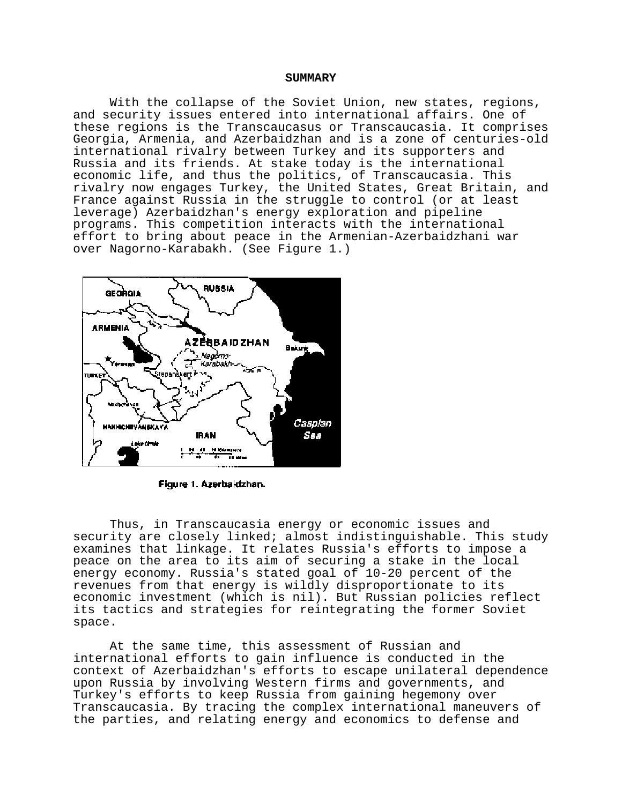## **SUMMARY**

With the collapse of the Soviet Union, new states, regions, and security issues entered into international affairs. One of these regions is the Transcaucasus or Transcaucasia. It comprises Georgia, Armenia, and Azerbaidzhan and is a zone of centuries-old international rivalry between Turkey and its supporters and Russia and its friends. At stake today is the international economic life, and thus the politics, of Transcaucasia. This rivalry now engages Turkey, the United States, Great Britain, and France against Russia in the struggle to control (or at least leverage) Azerbaidzhan's energy exploration and pipeline programs. This competition interacts with the international effort to bring about peace in the Armenian-Azerbaidzhani war over Nagorno-Karabakh. (See Figure 1.)



Figure 1. Azerbaidzhan.

Thus, in Transcaucasia energy or economic issues and security are closely linked; almost indistinguishable. This study examines that linkage. It relates Russia's efforts to impose a peace on the area to its aim of securing a stake in the local energy economy. Russia's stated goal of 10-20 percent of the revenues from that energy is wildly disproportionate to its economic investment (which is nil). But Russian policies reflect its tactics and strategies for reintegrating the former Soviet space.

At the same time, this assessment of Russian and international efforts to gain influence is conducted in the context of Azerbaidzhan's efforts to escape unilateral dependence upon Russia by involving Western firms and governments, and Turkey's efforts to keep Russia from gaining hegemony over Transcaucasia. By tracing the complex international maneuvers of the parties, and relating energy and economics to defense and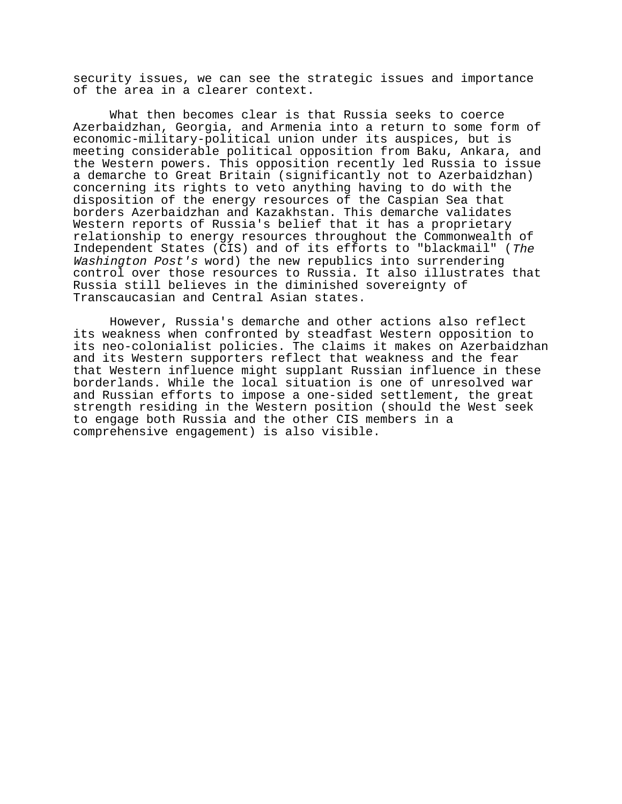security issues, we can see the strategic issues and importance of the area in a clearer context.

What then becomes clear is that Russia seeks to coerce Azerbaidzhan, Georgia, and Armenia into a return to some form of economic-military-political union under its auspices, but is meeting considerable political opposition from Baku, Ankara, and the Western powers. This opposition recently led Russia to issue a demarche to Great Britain (significantly not to Azerbaidzhan) concerning its rights to veto anything having to do with the disposition of the energy resources of the Caspian Sea that borders Azerbaidzhan and Kazakhstan. This demarche validates Western reports of Russia's belief that it has a proprietary relationship to energy resources throughout the Commonwealth of Independent States (CIS) and of its efforts to "blackmail" (The Washington Post's word) the new republics into surrendering control over those resources to Russia. It also illustrates that Russia still believes in the diminished sovereignty of Transcaucasian and Central Asian states.

However, Russia's demarche and other actions also reflect its weakness when confronted by steadfast Western opposition to its neo-colonialist policies. The claims it makes on Azerbaidzhan and its Western supporters reflect that weakness and the fear that Western influence might supplant Russian influence in these borderlands. While the local situation is one of unresolved war and Russian efforts to impose a one-sided settlement, the great strength residing in the Western position (should the West seek to engage both Russia and the other CIS members in a comprehensive engagement) is also visible.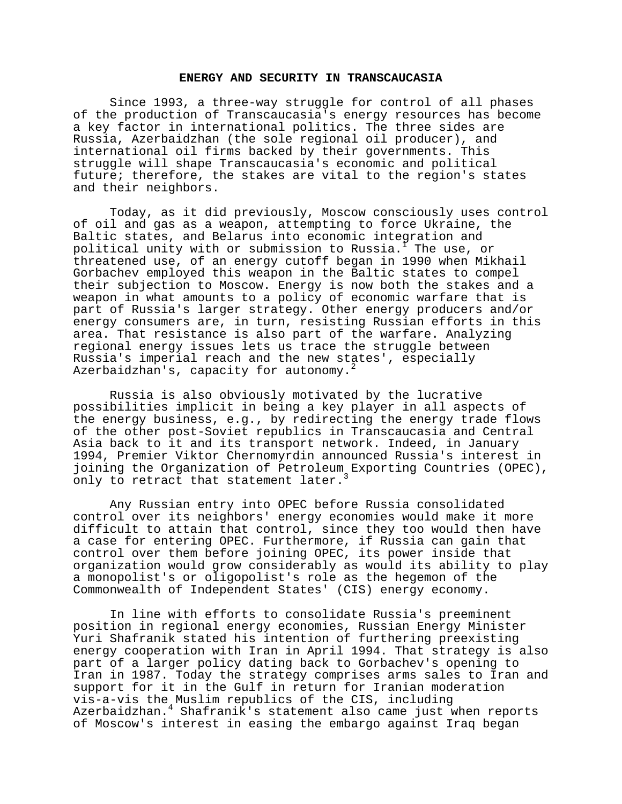## **ENERGY AND SECURITY IN TRANSCAUCASIA**

Since 1993, a three-way struggle for control of all phases of the production of Transcaucasia's energy resources has become a key factor in international politics. The three sides are Russia, Azerbaidzhan (the sole regional oil producer), and international oil firms backed by their governments. This struggle will shape Transcaucasia's economic and political future; therefore, the stakes are vital to the region's states and their neighbors.

Today, as it did previously, Moscow consciously uses control of oil and gas as a weapon, attempting to force Ukraine, the Baltic states, and Belarus into economic integration and political unity with or submission to Russia.1 The use, or threatened use, of an energy cutoff began in 1990 when Mikhail Gorbachev employed this weapon in the Baltic states to compel their subjection to Moscow. Energy is now both the stakes and a weapon in what amounts to a policy of economic warfare that is part of Russia's larger strategy. Other energy producers and/or energy consumers are, in turn, resisting Russian efforts in this area. That resistance is also part of the warfare. Analyzing regional energy issues lets us trace the struggle between Russia's imperial reach and the new states', especially Azerbaidzhan's, capacity for autonomy.<sup>2</sup>

Russia is also obviously motivated by the lucrative possibilities implicit in being a key player in all aspects of the energy business, e.g., by redirecting the energy trade flows of the other post-Soviet republics in Transcaucasia and Central Asia back to it and its transport network. Indeed, in January 1994, Premier Viktor Chernomyrdin announced Russia's interest in joining the Organization of Petroleum Exporting Countries (OPEC), only to retract that statement later.

Any Russian entry into OPEC before Russia consolidated control over its neighbors' energy economies would make it more difficult to attain that control, since they too would then have a case for entering OPEC. Furthermore, if Russia can gain that control over them before joining OPEC, its power inside that organization would grow considerably as would its ability to play a monopolist's or oligopolist's role as the hegemon of the Commonwealth of Independent States' (CIS) energy economy.

In line with efforts to consolidate Russia's preeminent position in regional energy economies, Russian Energy Minister Yuri Shafranik stated his intention of furthering preexisting energy cooperation with Iran in April 1994. That strategy is also part of a larger policy dating back to Gorbachev's opening to Iran in 1987. Today the strategy comprises arms sales to Iran and support for it in the Gulf in return for Iranian moderation vis-a-vis the Muslim republics of the CIS, including Azerbaidzhan.4 Shafranik's statement also came just when reports of Moscow's interest in easing the embargo against Iraq began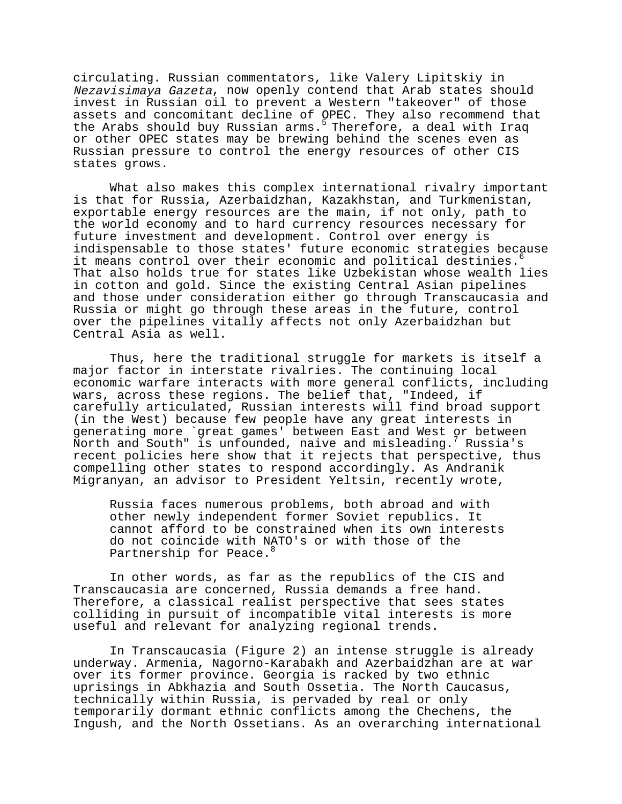circulating. Russian commentators, like Valery Lipitskiy in Nezavisimaya Gazeta, now openly contend that Arab states should invest in Russian oil to prevent a Western "takeover" of those assets and concomitant decline of OPEC. They also recommend that the Arabs should buy Russian arms.<sup>5</sup> Therefore, a deal with Iraq or other OPEC states may be brewing behind the scenes even as Russian pressure to control the energy resources of other CIS states grows.

What also makes this complex international rivalry important is that for Russia, Azerbaidzhan, Kazakhstan, and Turkmenistan, exportable energy resources are the main, if not only, path to the world economy and to hard currency resources necessary for future investment and development. Control over energy is indispensable to those states' future economic strategies because it means control over their economic and political destinies. That also holds true for states like Uzbekistan whose wealth lies in cotton and gold. Since the existing Central Asian pipelines and those under consideration either go through Transcaucasia and Russia or might go through these areas in the future, control over the pipelines vitally affects not only Azerbaidzhan but Central Asia as well.

Thus, here the traditional struggle for markets is itself a major factor in interstate rivalries. The continuing local economic warfare interacts with more general conflicts, including wars, across these regions. The belief that, "Indeed, if carefully articulated, Russian interests will find broad support (in the West) because few people have any great interests in generating more `great games' between East and West or between North and South" is unfounded, naive and misleading.<sup>7</sup> Russia's recent policies here show that it rejects that perspective, thus compelling other states to respond accordingly. As Andranik Migranyan, an advisor to President Yeltsin, recently wrote,

Russia faces numerous problems, both abroad and with other newly independent former Soviet republics. It cannot afford to be constrained when its own interests do not coincide with NATO's or with those of the Partnership for Peace.<sup>8</sup>

In other words, as far as the republics of the CIS and Transcaucasia are concerned, Russia demands a free hand. Therefore, a classical realist perspective that sees states colliding in pursuit of incompatible vital interests is more useful and relevant for analyzing regional trends.

In Transcaucasia (Figure 2) an intense struggle is already underway. Armenia, Nagorno-Karabakh and Azerbaidzhan are at war over its former province. Georgia is racked by two ethnic uprisings in Abkhazia and South Ossetia. The North Caucasus, technically within Russia, is pervaded by real or only temporarily dormant ethnic conflicts among the Chechens, the Ingush, and the North Ossetians. As an overarching international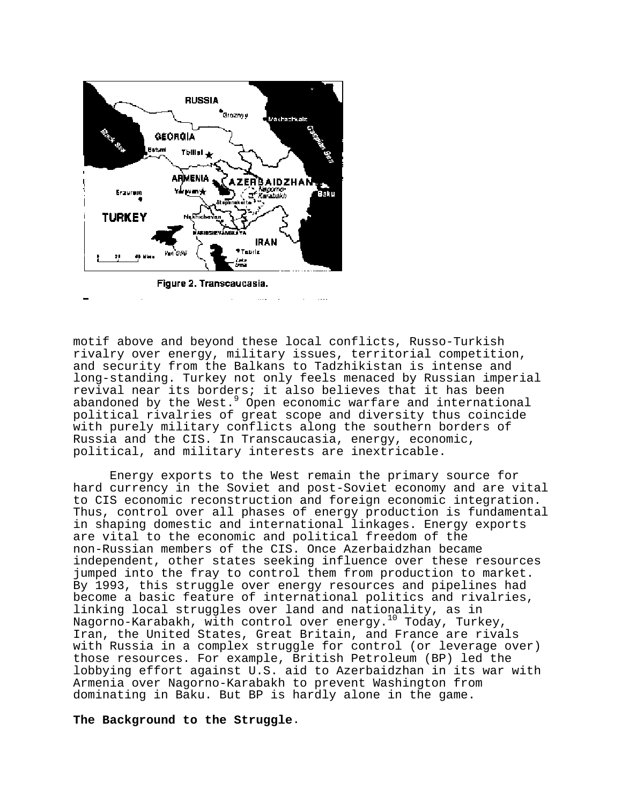

motif above and beyond these local conflicts, Russo-Turkish rivalry over energy, military issues, territorial competition, and security from the Balkans to Tadzhikistan is intense and long-standing. Turkey not only feels menaced by Russian imperial revival near its borders; it also believes that it has been abandoned by the West.<sup>9</sup> Open economic warfare and international political rivalries of great scope and diversity thus coincide with purely military conflicts along the southern borders of Russia and the CIS. In Transcaucasia, energy, economic, political, and military interests are inextricable.

Energy exports to the West remain the primary source for hard currency in the Soviet and post-Soviet economy and are vital to CIS economic reconstruction and foreign economic integration. Thus, control over all phases of energy production is fundamental in shaping domestic and international linkages. Energy exports are vital to the economic and political freedom of the non-Russian members of the CIS. Once Azerbaidzhan became independent, other states seeking influence over these resources jumped into the fray to control them from production to market. By 1993, this struggle over energy resources and pipelines had become a basic feature of international politics and rivalries, linking local struggles over land and nationality, as in Nagorno-Karabakh, with control over energy.10 Today, Turkey, Iran, the United States, Great Britain, and France are rivals with Russia in a complex struggle for control (or leverage over) those resources. For example, British Petroleum (BP) led the lobbying effort against U.S. aid to Azerbaidzhan in its war with Armenia over Nagorno-Karabakh to prevent Washington from dominating in Baku. But BP is hardly alone in the game.

**The Background to the Struggle**.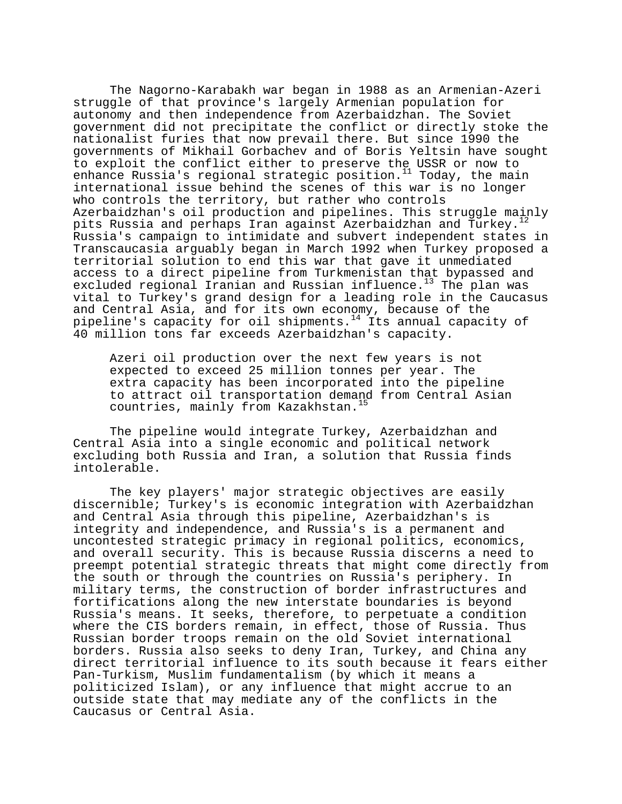The Nagorno-Karabakh war began in 1988 as an Armenian-Azeri struggle of that province's largely Armenian population for autonomy and then independence from Azerbaidzhan. The Soviet government did not precipitate the conflict or directly stoke the nationalist furies that now prevail there. But since 1990 the governments of Mikhail Gorbachev and of Boris Yeltsin have sought to exploit the conflict either to preserve the USSR or now to enhance Russia's regional strategic position.<sup>11</sup> Today, the main international issue behind the scenes of this war is no longer who controls the territory, but rather who controls Azerbaidzhan's oil production and pipelines. This struggle mainly pits Russia and perhaps Iran against Azerbaidzhan and Turkey.<sup>12</sup> Russia's campaign to intimidate and subvert independent states in Transcaucasia arguably began in March 1992 when Turkey proposed a territorial solution to end this war that gave it unmediated access to a direct pipeline from Turkmenistan that bypassed and excluded regional Iranian and Russian influence.<sup>13</sup> The plan was vital to Turkey's grand design for a leading role in the Caucasus and Central Asia, and for its own economy, because of the pipeline's capacity for oil shipments.<sup>14</sup> Its annual capacity of 40 million tons far exceeds Azerbaidzhan's capacity.

Azeri oil production over the next few years is not expected to exceed 25 million tonnes per year. The extra capacity has been incorporated into the pipeline to attract oil transportation demand from Central Asian countries, mainly from Kazakhstan.15

The pipeline would integrate Turkey, Azerbaidzhan and Central Asia into a single economic and political network excluding both Russia and Iran, a solution that Russia finds intolerable.

The key players' major strategic objectives are easily discernible; Turkey's is economic integration with Azerbaidzhan and Central Asia through this pipeline, Azerbaidzhan's is integrity and independence, and Russia's is a permanent and uncontested strategic primacy in regional politics, economics, and overall security. This is because Russia discerns a need to preempt potential strategic threats that might come directly from the south or through the countries on Russia's periphery. In military terms, the construction of border infrastructures and fortifications along the new interstate boundaries is beyond Russia's means. It seeks, therefore, to perpetuate a condition where the CIS borders remain, in effect, those of Russia. Thus Russian border troops remain on the old Soviet international borders. Russia also seeks to deny Iran, Turkey, and China any direct territorial influence to its south because it fears either Pan-Turkism, Muslim fundamentalism (by which it means a politicized Islam), or any influence that might accrue to an outside state that may mediate any of the conflicts in the Caucasus or Central Asia.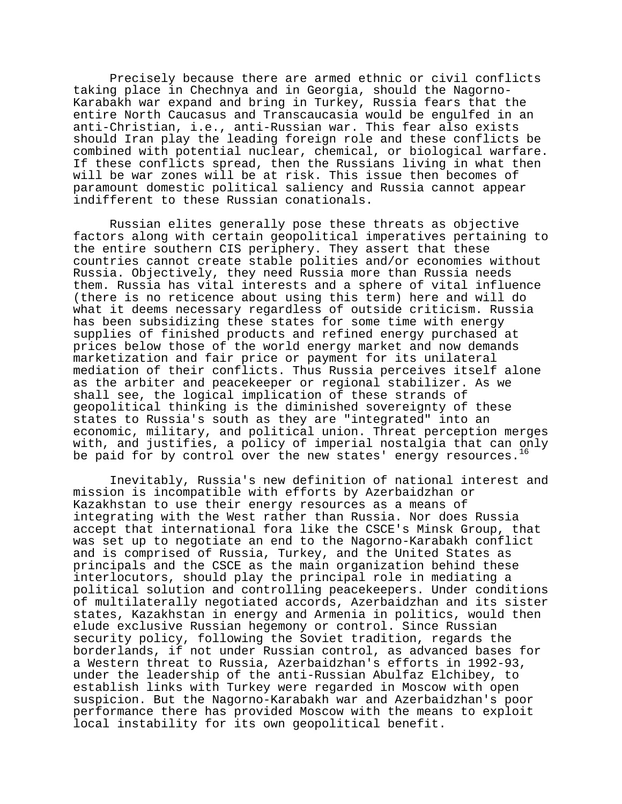Precisely because there are armed ethnic or civil conflicts taking place in Chechnya and in Georgia, should the Nagorno-Karabakh war expand and bring in Turkey, Russia fears that the entire North Caucasus and Transcaucasia would be engulfed in an anti-Christian, i.e., anti-Russian war. This fear also exists should Iran play the leading foreign role and these conflicts be combined with potential nuclear, chemical, or biological warfare. If these conflicts spread, then the Russians living in what then will be war zones will be at risk. This issue then becomes of paramount domestic political saliency and Russia cannot appear indifferent to these Russian conationals.

Russian elites generally pose these threats as objective factors along with certain geopolitical imperatives pertaining to the entire southern CIS periphery. They assert that these countries cannot create stable polities and/or economies without Russia. Objectively, they need Russia more than Russia needs them. Russia has vital interests and a sphere of vital influence (there is no reticence about using this term) here and will do what it deems necessary regardless of outside criticism. Russia has been subsidizing these states for some time with energy supplies of finished products and refined energy purchased at prices below those of the world energy market and now demands marketization and fair price or payment for its unilateral mediation of their conflicts. Thus Russia perceives itself alone as the arbiter and peacekeeper or regional stabilizer. As we shall see, the logical implication of these strands of geopolitical thinking is the diminished sovereignty of these states to Russia's south as they are "integrated" into an economic, military, and political union. Threat perception merges with, and justifies, a policy of imperial nostalgia that can only be paid for by control over the new states' energy resources.<sup>16</sup>

Inevitably, Russia's new definition of national interest and mission is incompatible with efforts by Azerbaidzhan or Kazakhstan to use their energy resources as a means of integrating with the West rather than Russia. Nor does Russia accept that international fora like the CSCE's Minsk Group, that was set up to negotiate an end to the Nagorno-Karabakh conflict and is comprised of Russia, Turkey, and the United States as principals and the CSCE as the main organization behind these interlocutors, should play the principal role in mediating a political solution and controlling peacekeepers. Under conditions of multilaterally negotiated accords, Azerbaidzhan and its sister states, Kazakhstan in energy and Armenia in politics, would then elude exclusive Russian hegemony or control. Since Russian security policy, following the Soviet tradition, regards the borderlands, if not under Russian control, as advanced bases for a Western threat to Russia, Azerbaidzhan's efforts in 1992-93, under the leadership of the anti-Russian Abulfaz Elchibey, to establish links with Turkey were regarded in Moscow with open suspicion. But the Nagorno-Karabakh war and Azerbaidzhan's poor performance there has provided Moscow with the means to exploit local instability for its own geopolitical benefit.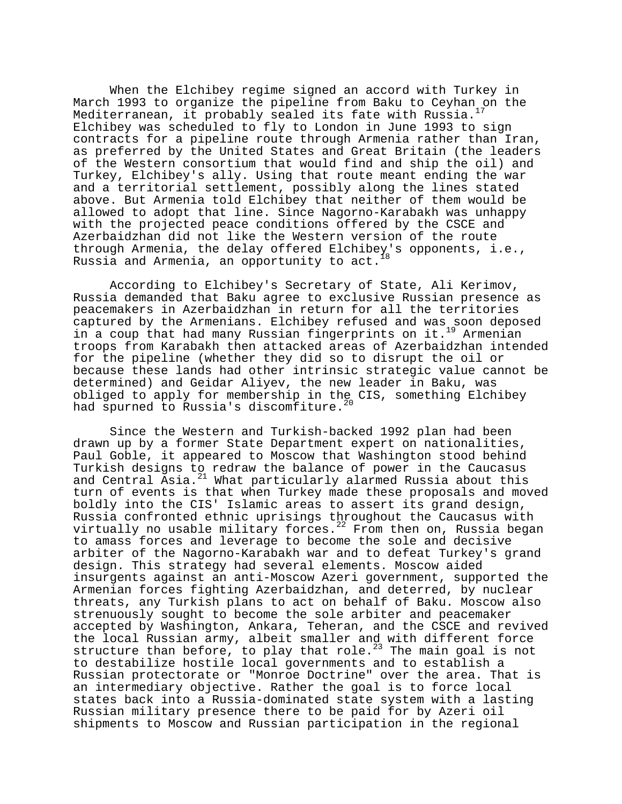When the Elchibey regime signed an accord with Turkey in March 1993 to organize the pipeline from Baku to Ceyhan on the Mediterranean, it probably sealed its fate with Russia.<sup>4</sup> Elchibey was scheduled to fly to London in June 1993 to sign contracts for a pipeline route through Armenia rather than Iran, as preferred by the United States and Great Britain (the leaders of the Western consortium that would find and ship the oil) and Turkey, Elchibey's ally. Using that route meant ending the war and a territorial settlement, possibly along the lines stated above. But Armenia told Elchibey that neither of them would be allowed to adopt that line. Since Nagorno-Karabakh was unhappy with the projected peace conditions offered by the CSCE and Azerbaidzhan did not like the Western version of the route through Armenia, the delay offered Elchibey's opponents, i.e., Russia and Armenia, an opportunity to act.

According to Elchibey's Secretary of State, Ali Kerimov, Russia demanded that Baku agree to exclusive Russian presence as peacemakers in Azerbaidzhan in return for all the territories captured by the Armenians. Elchibey refused and was soon deposed in a coup that had many Russian fingerprints on it.<sup>19</sup> Armenian troops from Karabakh then attacked areas of Azerbaidzhan intended for the pipeline (whether they did so to disrupt the oil or because these lands had other intrinsic strategic value cannot be determined) and Geidar Aliyev, the new leader in Baku, was obliged to apply for membership in the CIS, something Elchibey had spurned to Russia's discomfiture.<sup>20</sup>

Since the Western and Turkish-backed 1992 plan had been drawn up by a former State Department expert on nationalities, Paul Goble, it appeared to Moscow that Washington stood behind Turkish designs to redraw the balance of power in the Caucasus and Central Asia.21 What particularly alarmed Russia about this turn of events is that when Turkey made these proposals and moved boldly into the CIS' Islamic areas to assert its grand design, Russia confronted ethnic uprisings throughout the Caucasus with virtually no usable military forces.<sup>22</sup> From then on, Russia began to amass forces and leverage to become the sole and decisive arbiter of the Nagorno-Karabakh war and to defeat Turkey's grand design. This strategy had several elements. Moscow aided insurgents against an anti-Moscow Azeri government, supported the Armenian forces fighting Azerbaidzhan, and deterred, by nuclear threats, any Turkish plans to act on behalf of Baku. Moscow also strenuously sought to become the sole arbiter and peacemaker accepted by Washington, Ankara, Teheran, and the CSCE and revived the local Russian army, albeit smaller and with different force structure than before, to play that role.<sup>23</sup> The main goal is not to destabilize hostile local governments and to establish a Russian protectorate or "Monroe Doctrine" over the area. That is an intermediary objective. Rather the goal is to force local states back into a Russia-dominated state system with a lasting Russian military presence there to be paid for by Azeri oil shipments to Moscow and Russian participation in the regional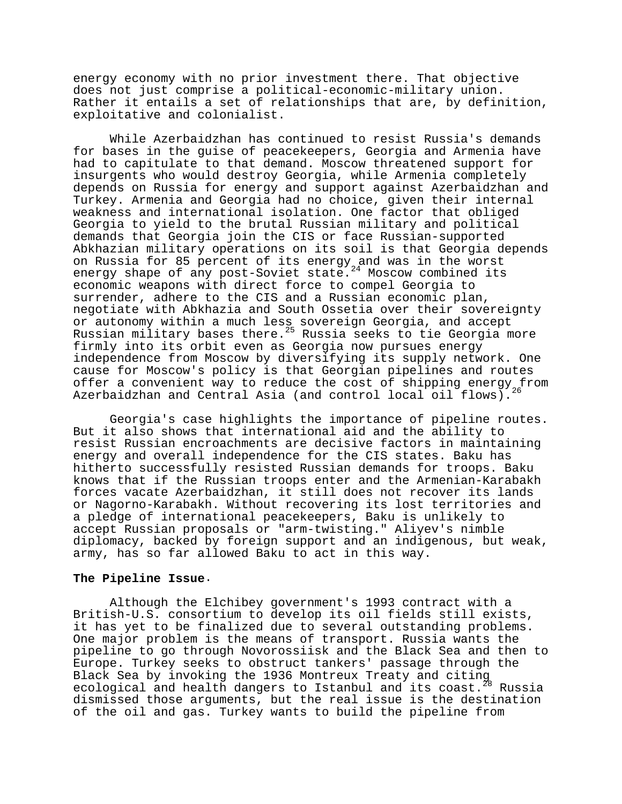energy economy with no prior investment there. That objective does not just comprise a political-economic-military union. Rather it entails a set of relationships that are, by definition, exploitative and colonialist.

While Azerbaidzhan has continued to resist Russia's demands for bases in the guise of peacekeepers, Georgia and Armenia have had to capitulate to that demand. Moscow threatened support for insurgents who would destroy Georgia, while Armenia completely depends on Russia for energy and support against Azerbaidzhan and Turkey. Armenia and Georgia had no choice, given their internal weakness and international isolation. One factor that obliged Georgia to yield to the brutal Russian military and political demands that Georgia join the CIS or face Russian-supported Abkhazian military operations on its soil is that Georgia depends on Russia for 85 percent of its energy and was in the worst energy shape of any post-Soviet state.<sup>24</sup> Moscow combined its economic weapons with direct force to compel Georgia to surrender, adhere to the CIS and a Russian economic plan, negotiate with Abkhazia and South Ossetia over their sovereignty or autonomy within a much less sovereign Georgia, and accept Russian military bases there.<sup>25</sup> Russia seeks to tie Georgia more firmly into its orbit even as Georgia now pursues energy independence from Moscow by diversifying its supply network. One cause for Moscow's policy is that Georgian pipelines and routes offer a convenient way to reduce the cost of shipping energy from Azerbaidzhan and Central Asia (and control local oil flows).

Georgia's case highlights the importance of pipeline routes. But it also shows that international aid and the ability to resist Russian encroachments are decisive factors in maintaining energy and overall independence for the CIS states. Baku has hitherto successfully resisted Russian demands for troops. Baku knows that if the Russian troops enter and the Armenian-Karabakh forces vacate Azerbaidzhan, it still does not recover its lands or Nagorno-Karabakh. Without recovering its lost territories and a pledge of international peacekeepers, Baku is unlikely to accept Russian proposals or "arm-twisting." Aliyev's nimble diplomacy, backed by foreign support and an indigenous, but weak, army, has so far allowed Baku to act in this way.

#### **The Pipeline Issue**.

Although the Elchibey government's 1993 contract with a British-U.S. consortium to develop its oil fields still exists, it has yet to be finalized due to several outstanding problems. One major problem is the means of transport. Russia wants the pipeline to go through Novorossiisk and the Black Sea and then to Europe. Turkey seeks to obstruct tankers' passage through the Black Sea by invoking the 1936 Montreux Treaty and citing<br>ecological and health dangers to Istanbul and its coast.<sup>28</sup> Russia ecological and health dangers to Istanbul and its coast. dismissed those arguments, but the real issue is the destination of the oil and gas. Turkey wants to build the pipeline from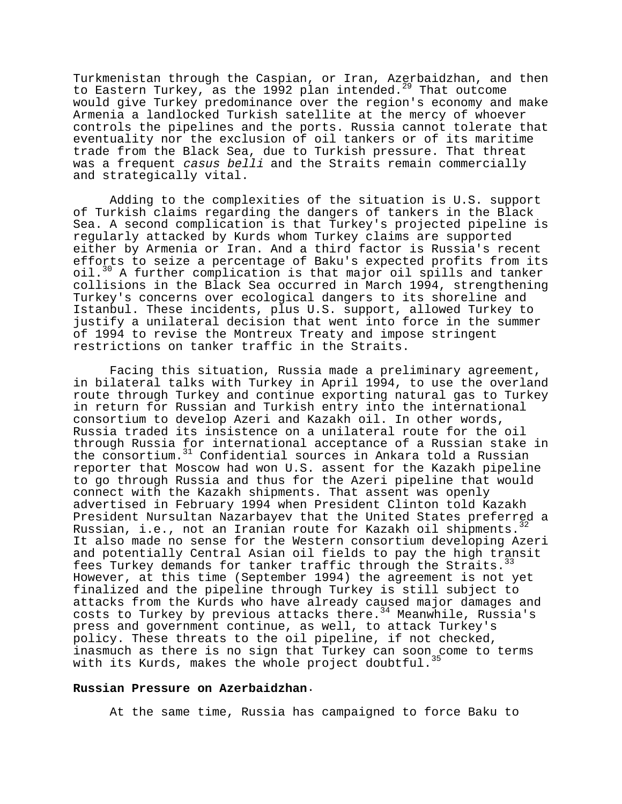Turkmenistan through the Caspian, or Iran, Azerbaidzhan, and then to Eastern Turkey, as the 1992 plan intended.<sup>29</sup> That outcome would give Turkey predominance over the region's economy and make Armenia a landlocked Turkish satellite at the mercy of whoever controls the pipelines and the ports. Russia cannot tolerate that eventuality nor the exclusion of oil tankers or of its maritime trade from the Black Sea, due to Turkish pressure. That threat was a frequent casus belli and the Straits remain commercially and strategically vital.

Adding to the complexities of the situation is U.S. support of Turkish claims regarding the dangers of tankers in the Black Sea. A second complication is that Turkey's projected pipeline is regularly attacked by Kurds whom Turkey claims are supported either by Armenia or Iran. And a third factor is Russia's recent efforts to seize a percentage of Baku's expected profits from its oil.30 A further complication is that major oil spills and tanker collisions in the Black Sea occurred in March 1994, strengthening Turkey's concerns over ecological dangers to its shoreline and Istanbul. These incidents, plus U.S. support, allowed Turkey to justify a unilateral decision that went into force in the summer of 1994 to revise the Montreux Treaty and impose stringent restrictions on tanker traffic in the Straits.

Facing this situation, Russia made a preliminary agreement, in bilateral talks with Turkey in April 1994, to use the overland route through Turkey and continue exporting natural gas to Turkey in return for Russian and Turkish entry into the international consortium to develop Azeri and Kazakh oil. In other words, Russia traded its insistence on a unilateral route for the oil through Russia for international acceptance of a Russian stake in the consortium.<sup>31</sup> Confidential sources in Ankara told a Russian reporter that Moscow had won U.S. assent for the Kazakh pipeline to go through Russia and thus for the Azeri pipeline that would connect with the Kazakh shipments. That assent was openly advertised in February 1994 when President Clinton told Kazakh President Nursultan Nazarbayev that the United States preferred a Russian, i.e., not an Iranian route for Kazakh oil shipments.  $32$ It also made no sense for the Western consortium developing Azeri and potentially Central Asian oil fields to pay the high transit fees Turkey demands for tanker traffic through the Straits.<sup>33</sup> However, at this time (September 1994) the agreement is not yet finalized and the pipeline through Turkey is still subject to attacks from the Kurds who have already caused major damages and costs to Turkey by previous attacks there.<sup>34</sup> Meanwhile, Russia's press and government continue, as well, to attack Turkey's policy. These threats to the oil pipeline, if not checked, inasmuch as there is no sign that Turkey can soon come to terms with its Kurds, makes the whole project doubtful.<sup>3</sup>

#### **Russian Pressure on Azerbaidzhan**.

At the same time, Russia has campaigned to force Baku to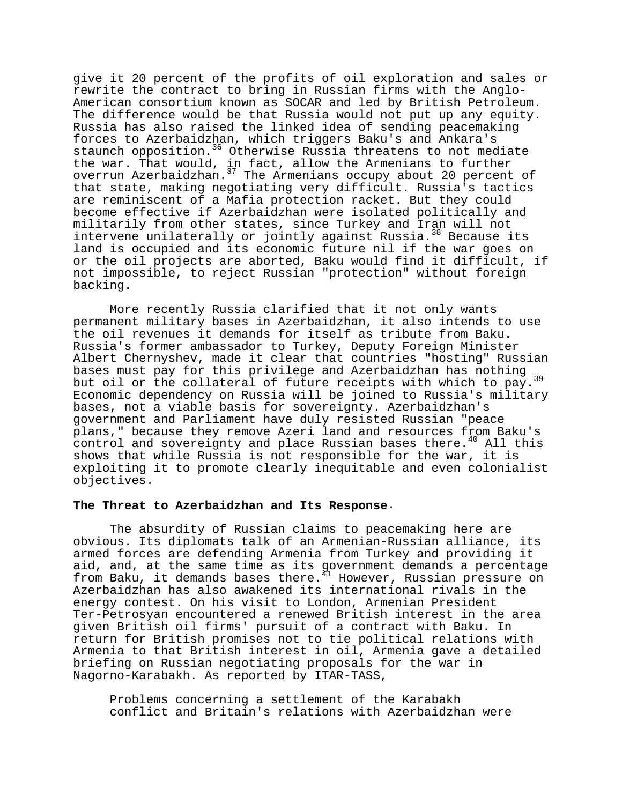give it 20 percent of the profits of oil exploration and sales or rewrite the contract to bring in Russian firms with the Anglo-American consortium known as SOCAR and led by British Petroleum. The difference would be that Russia would not put up any equity. Russia has also raised the linked idea of sending peacemaking forces to Azerbaidzhan, which triggers Baku's and Ankara's staunch opposition.<sup>36</sup> Otherwise Russia threatens to not mediate the war. That would, in fact, allow the Armenians to further overrun Azerbaidzhan.<sup>37</sup> The Armenians occupy about 20 percent of that state, making negotiating very difficult. Russia's tactics are reminiscent of a Mafia protection racket. But they could become effective if Azerbaidzhan were isolated politically and militarily from other states, since Turkey and Iran will not intervene unilaterally or jointly against Russia.<sup>38</sup> Because its land is occupied and its economic future nil if the war goes on or the oil projects are aborted, Baku would find it difficult, if not impossible, to reject Russian "protection" without foreign backing.

More recently Russia clarified that it not only wants permanent military bases in Azerbaidzhan, it also intends to use the oil revenues it demands for itself as tribute from Baku. Russia's former ambassador to Turkey, Deputy Foreign Minister Albert Chernyshev, made it clear that countries "hosting" Russian bases must pay for this privilege and Azerbaidzhan has nothing but oil or the collateral of future receipts with which to pay.<sup>39</sup> Economic dependency on Russia will be joined to Russia's military bases, not a viable basis for sovereignty. Azerbaidzhan's government and Parliament have duly resisted Russian "peace plans," because they remove Azeri land and resources from Baku's control and sovereignty and place Russian bases there.<sup>40</sup> All this shows that while Russia is not responsible for the war, it is exploiting it to promote clearly inequitable and even colonialist objectives.

#### **The Threat to Azerbaidzhan and Its Response**.

The absurdity of Russian claims to peacemaking here are obvious. Its diplomats talk of an Armenian-Russian alliance, its armed forces are defending Armenia from Turkey and providing it aid, and, at the same time as its government demands a percentage from Baku, it demands bases there.<sup>41</sup> However, Russian pressure on Azerbaidzhan has also awakened its international rivals in the energy contest. On his visit to London, Armenian President Ter-Petrosyan encountered a renewed British interest in the area given British oil firms' pursuit of a contract with Baku. In return for British promises not to tie political relations with Armenia to that British interest in oil, Armenia gave a detailed briefing on Russian negotiating proposals for the war in Nagorno-Karabakh. As reported by ITAR-TASS,

Problems concerning a settlement of the Karabakh conflict and Britain's relations with Azerbaidzhan were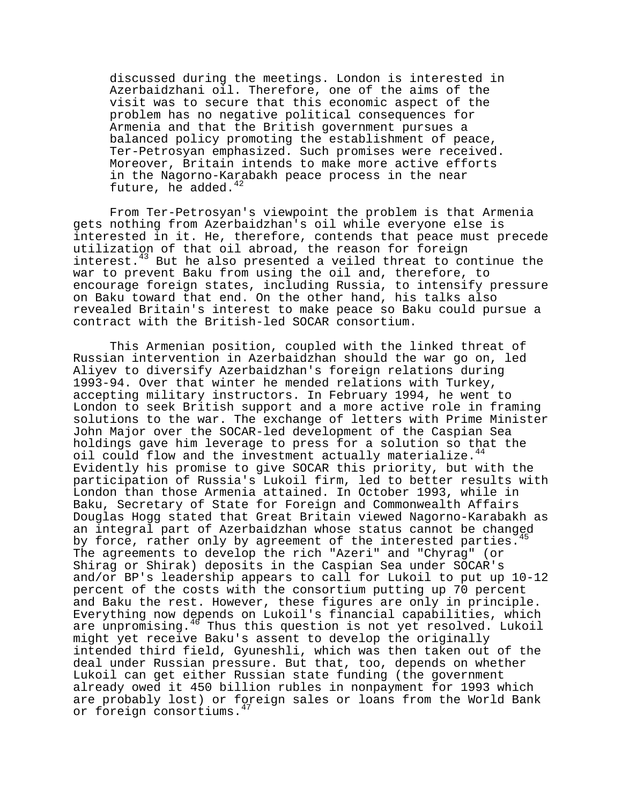discussed during the meetings. London is interested in Azerbaidzhani oil. Therefore, one of the aims of the visit was to secure that this economic aspect of the problem has no negative political consequences for Armenia and that the British government pursues a balanced policy promoting the establishment of peace, Ter-Petrosyan emphasized. Such promises were received. Moreover, Britain intends to make more active efforts in the Nagorno-Karabakh peace process in the near future, he added. $42$ 

From Ter-Petrosyan's viewpoint the problem is that Armenia gets nothing from Azerbaidzhan's oil while everyone else is interested in it. He, therefore, contends that peace must precede utilization of that oil abroad, the reason for foreign interest. $43$  But he also presented a veiled threat to continue the war to prevent Baku from using the oil and, therefore, to encourage foreign states, including Russia, to intensify pressure on Baku toward that end. On the other hand, his talks also revealed Britain's interest to make peace so Baku could pursue a contract with the British-led SOCAR consortium.

This Armenian position, coupled with the linked threat of Russian intervention in Azerbaidzhan should the war go on, led Aliyev to diversify Azerbaidzhan's foreign relations during 1993-94. Over that winter he mended relations with Turkey, accepting military instructors. In February 1994, he went to London to seek British support and a more active role in framing solutions to the war. The exchange of letters with Prime Minister John Major over the SOCAR-led development of the Caspian Sea holdings gave him leverage to press for a solution so that the oil could flow and the investment actually materialize.<sup>44</sup> Evidently his promise to give SOCAR this priority, but with the participation of Russia's Lukoil firm, led to better results with London than those Armenia attained. In October 1993, while in Baku, Secretary of State for Foreign and Commonwealth Affairs Douglas Hogg stated that Great Britain viewed Nagorno-Karabakh as an integral part of Azerbaidzhan whose status cannot be changed by force, rather only by agreement of the interested parties. The agreements to develop the rich "Azeri" and "Chyrag" (or Shirag or Shirak) deposits in the Caspian Sea under SOCAR's and/or BP's leadership appears to call for Lukoil to put up 10-12 percent of the costs with the consortium putting up 70 percent and Baku the rest. However, these figures are only in principle. Everything now depends on Lukoil's financial capabilities, which are unpromising.<sup>46</sup> Thus this question is not yet resolved. Lukoil might yet receive Baku's assent to develop the originally intended third field, Gyuneshli, which was then taken out of the deal under Russian pressure. But that, too, depends on whether Lukoil can get either Russian state funding (the government already owed it 450 billion rubles in nonpayment for 1993 which are probably lost) or foreign sales or loans from the World Bank or foreign consortiums.<sup>47</sup>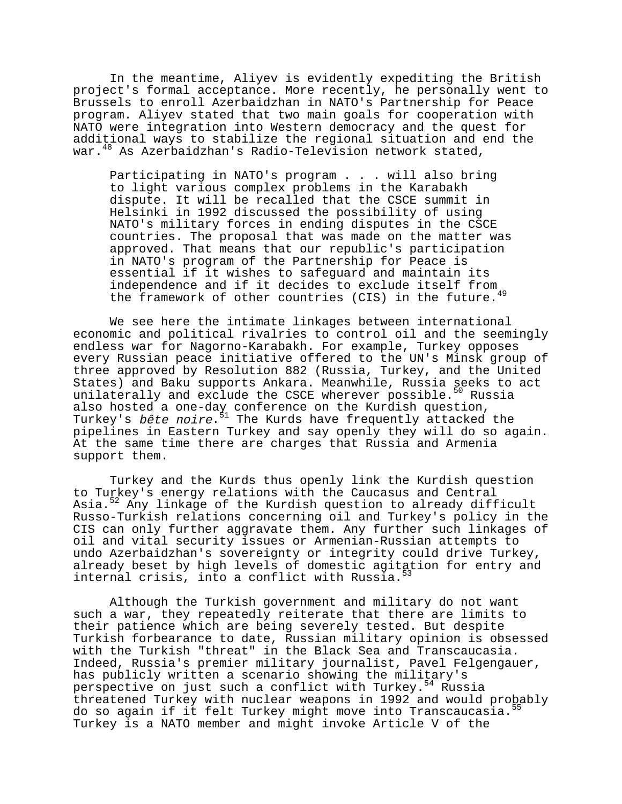In the meantime, Aliyev is evidently expediting the British project's formal acceptance. More recently, he personally went to Brussels to enroll Azerbaidzhan in NATO's Partnership for Peace program. Aliyev stated that two main goals for cooperation with NATO were integration into Western democracy and the quest for additional ways to stabilize the regional situation and end the war.<sup>48</sup> As Azerbaidzhan's Radio-Television network stated,

Participating in NATO's program . . . will also bring to light various complex problems in the Karabakh dispute. It will be recalled that the CSCE summit in Helsinki in 1992 discussed the possibility of using NATO's military forces in ending disputes in the CSCE countries. The proposal that was made on the matter was approved. That means that our republic's participation in NATO's program of the Partnership for Peace is essential if it wishes to safeguard and maintain its independence and if it decides to exclude itself from the framework of other countries (CIS) in the future.<sup>49</sup>

We see here the intimate linkages between international economic and political rivalries to control oil and the seemingly endless war for Nagorno-Karabakh. For example, Turkey opposes every Russian peace initiative offered to the UN's Minsk group of three approved by Resolution 882 (Russia, Turkey, and the United States) and Baku supports Ankara. Meanwhile, Russia seeks to act unilaterally and exclude the CSCE wherever possible.<sup>50</sup> Russia also hosted a one-day conference on the Kurdish question, Turkey's bête noire.<sup>51</sup> The Kurds have frequently attacked the pipelines in Eastern Turkey and say openly they will do so again. At the same time there are charges that Russia and Armenia support them.

Turkey and the Kurds thus openly link the Kurdish question to Turkey's energy relations with the Caucasus and Central Asia.<sup>52</sup> Any linkage of the Kurdish question to already difficult Russo-Turkish relations concerning oil and Turkey's policy in the CIS can only further aggravate them. Any further such linkages of oil and vital security issues or Armenian-Russian attempts to undo Azerbaidzhan's sovereignty or integrity could drive Turkey, already beset by high levels of domestic agitation for entry and internal crisis, into a conflict with Russia.<sup>5</sup>

Although the Turkish government and military do not want such a war, they repeatedly reiterate that there are limits to their patience which are being severely tested. But despite Turkish forbearance to date, Russian military opinion is obsessed with the Turkish "threat" in the Black Sea and Transcaucasia. Indeed, Russia's premier military journalist, Pavel Felgengauer, has publicly written a scenario showing the military's perspective on just such a conflict with Turkey.<sup>54</sup> Russia threatened Turkey with nuclear weapons in 1992 and would probably do so again if it felt Turkey might move into Transcaucasia.<sup>55</sup> Turkey is a NATO member and might invoke Article V of the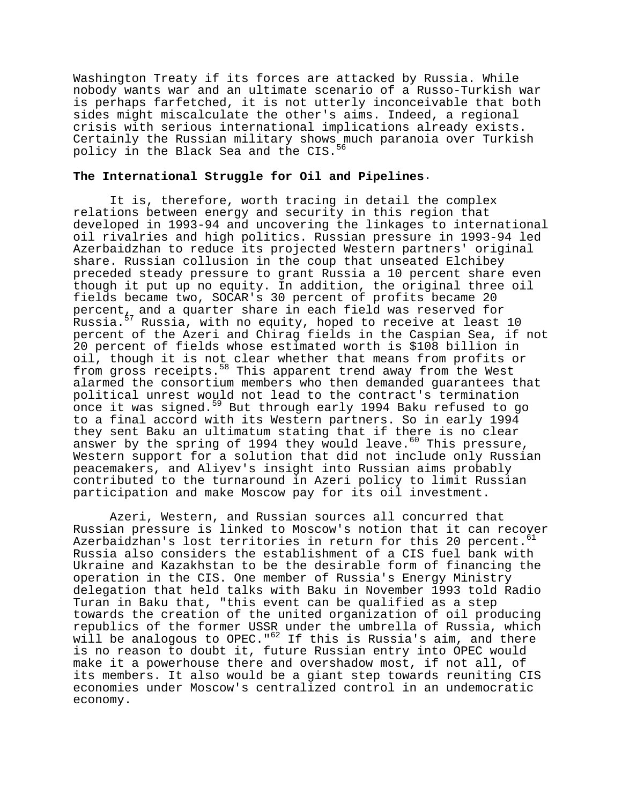Washington Treaty if its forces are attacked by Russia. While nobody wants war and an ultimate scenario of a Russo-Turkish war is perhaps farfetched, it is not utterly inconceivable that both sides might miscalculate the other's aims. Indeed, a regional crisis with serious international implications already exists. Certainly the Russian military shows much paranoia over Turkish policy in the Black Sea and the CIS.<sup>5</sup>

# **The International Struggle for Oil and Pipelines**.

It is, therefore, worth tracing in detail the complex relations between energy and security in this region that developed in 1993-94 and uncovering the linkages to international oil rivalries and high politics. Russian pressure in 1993-94 led Azerbaidzhan to reduce its projected Western partners' original share. Russian collusion in the coup that unseated Elchibey preceded steady pressure to grant Russia a 10 percent share even though it put up no equity. In addition, the original three oil fields became two, SOCAR's 30 percent of profits became 20 percent, and a quarter share in each field was reserved for Russia.<sup>57</sup> Russia, with no equity, hoped to receive at least 10 percent of the Azeri and Chirag fields in the Caspian Sea, if not 20 percent of fields whose estimated worth is \$108 billion in oil, though it is not clear whether that means from profits or from gross receipts.<sup>58</sup> This apparent trend away from the West alarmed the consortium members who then demanded guarantees that political unrest would not lead to the contract's termination once it was signed.<sup>59</sup> But through early 1994 Baku refused to go to a final accord with its Western partners. So in early 1994 they sent Baku an ultimatum stating that if there is no clear answer by the spring of 1994 they would leave.<sup>60</sup> This pressure, Western support for a solution that did not include only Russian peacemakers, and Aliyev's insight into Russian aims probably contributed to the turnaround in Azeri policy to limit Russian participation and make Moscow pay for its oil investment.

Azeri, Western, and Russian sources all concurred that Russian pressure is linked to Moscow's notion that it can recover Azerbaidzhan's lost territories in return for this 20 percent. $61$ Russia also considers the establishment of a CIS fuel bank with Ukraine and Kazakhstan to be the desirable form of financing the operation in the CIS. One member of Russia's Energy Ministry delegation that held talks with Baku in November 1993 told Radio Turan in Baku that, "this event can be qualified as a step towards the creation of the united organization of oil producing republics of the former USSR under the umbrella of Russia, which will be analogous to OPEC."<sup>62</sup> If this is Russia's aim, and there is no reason to doubt it, future Russian entry into OPEC would make it a powerhouse there and overshadow most, if not all, of its members. It also would be a giant step towards reuniting CIS economies under Moscow's centralized control in an undemocratic economy.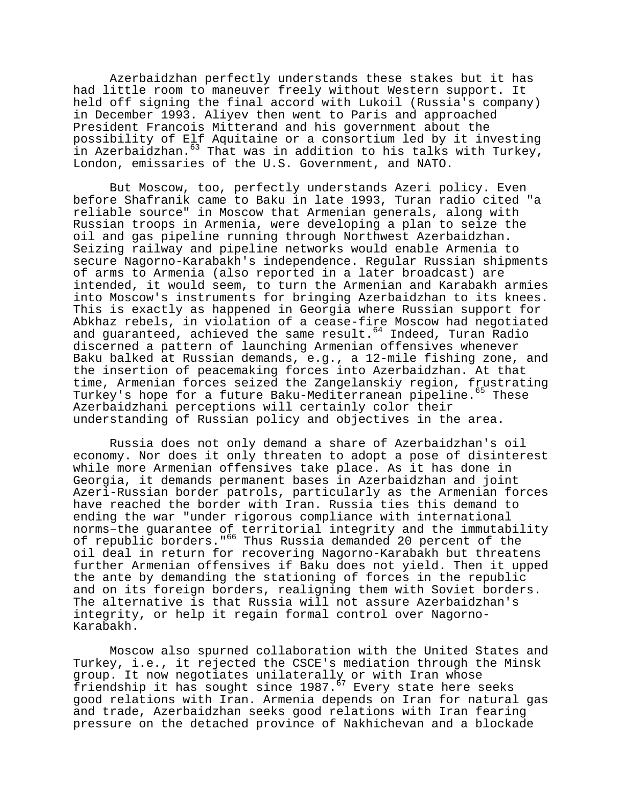Azerbaidzhan perfectly understands these stakes but it has had little room to maneuver freely without Western support. It held off signing the final accord with Lukoil (Russia's company) in December 1993. Aliyev then went to Paris and approached President Francois Mitterand and his government about the possibility of Elf Aquitaine or a consortium led by it investing in Azerbaidzhan.<sup>63</sup> That was in addition to his talks with Turkey, London, emissaries of the U.S. Government, and NATO.

But Moscow, too, perfectly understands Azeri policy. Even before Shafranik came to Baku in late 1993, Turan radio cited "a reliable source" in Moscow that Armenian generals, along with Russian troops in Armenia, were developing a plan to seize the oil and gas pipeline running through Northwest Azerbaidzhan. Seizing railway and pipeline networks would enable Armenia to secure Nagorno-Karabakh's independence. Regular Russian shipments of arms to Armenia (also reported in a later broadcast) are intended, it would seem, to turn the Armenian and Karabakh armies into Moscow's instruments for bringing Azerbaidzhan to its knees. This is exactly as happened in Georgia where Russian support for Abkhaz rebels, in violation of a cease-fire Moscow had negotiated and guaranteed, achieved the same result.<sup>64</sup> Indeed, Turan Radio discerned a pattern of launching Armenian offensives whenever Baku balked at Russian demands, e.g., a 12-mile fishing zone, and the insertion of peacemaking forces into Azerbaidzhan. At that time, Armenian forces seized the Zangelanskiy region, frustrating Turkey's hope for a future Baku-Mediterranean pipeline.<sup>65</sup> These Azerbaidzhani perceptions will certainly color their understanding of Russian policy and objectives in the area.

Russia does not only demand a share of Azerbaidzhan's oil economy. Nor does it only threaten to adopt a pose of disinterest while more Armenian offensives take place. As it has done in Georgia, it demands permanent bases in Azerbaidzhan and joint Azeri-Russian border patrols, particularly as the Armenian forces have reached the border with Iran. Russia ties this demand to ending the war "under rigorous compliance with international norms-the guarantee of territorial integrity and the immutability of republic borders."<sup>66</sup> Thus Russia demanded 20 percent of the oil deal in return for recovering Nagorno-Karabakh but threatens further Armenian offensives if Baku does not yield. Then it upped the ante by demanding the stationing of forces in the republic and on its foreign borders, realigning them with Soviet borders. The alternative is that Russia will not assure Azerbaidzhan's integrity, or help it regain formal control over Nagorno-Karabakh.

Moscow also spurned collaboration with the United States and Turkey, i.e., it rejected the CSCE's mediation through the Minsk group. It now negotiates unilaterally or with Iran whose friendship it has sought since 1987.<sup>67</sup> Every state here seeks good relations with Iran. Armenia depends on Iran for natural gas and trade, Azerbaidzhan seeks good relations with Iran fearing pressure on the detached province of Nakhichevan and a blockade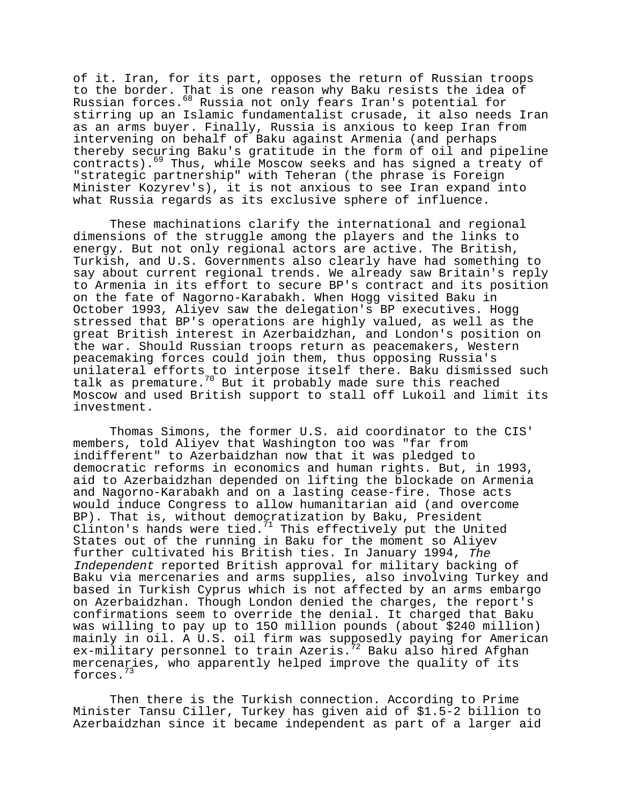of it. Iran, for its part, opposes the return of Russian troops to the border. That is one reason why Baku resists the idea of Russian forces.<sup>68</sup> Russia not only fears Iran's potential for stirring up an Islamic fundamentalist crusade, it also needs Iran as an arms buyer. Finally, Russia is anxious to keep Iran from intervening on behalf of Baku against Armenia (and perhaps thereby securing Baku's gratitude in the form of oil and pipeline contracts).69 Thus, while Moscow seeks and has signed a treaty of "strategic partnership" with Teheran (the phrase is Foreign Minister Kozyrev's), it is not anxious to see Iran expand into what Russia regards as its exclusive sphere of influence.

These machinations clarify the international and regional dimensions of the struggle among the players and the links to energy. But not only regional actors are active. The British, Turkish, and U.S. Governments also clearly have had something to say about current regional trends. We already saw Britain's reply to Armenia in its effort to secure BP's contract and its position on the fate of Nagorno-Karabakh. When Hogg visited Baku in October 1993, Aliyev saw the delegation's BP executives. Hogg stressed that BP's operations are highly valued, as well as the great British interest in Azerbaidzhan, and London's position on the war. Should Russian troops return as peacemakers, Western peacemaking forces could join them, thus opposing Russia's unilateral efforts to interpose itself there. Baku dismissed such talk as premature.<sup>70</sup> But it probably made sure this reached Moscow and used British support to stall off Lukoil and limit its investment.

Thomas Simons, the former U.S. aid coordinator to the CIS' members, told Aliyev that Washington too was "far from indifferent" to Azerbaidzhan now that it was pledged to democratic reforms in economics and human rights. But, in 1993, aid to Azerbaidzhan depended on lifting the blockade on Armenia and Nagorno-Karabakh and on a lasting cease-fire. Those acts would induce Congress to allow humanitarian aid (and overcome BP). That is, without democratization by Baku, President Clinton's hands were tied. $71$  This effectively put the United States out of the running in Baku for the moment so Aliyev further cultivated his British ties. In January 1994, The Independent reported British approval for military backing of Baku via mercenaries and arms supplies, also involving Turkey and based in Turkish Cyprus which is not affected by an arms embargo on Azerbaidzhan. Though London denied the charges, the report's confirmations seem to override the denial. It charged that Baku was willing to pay up to 15O million pounds (about \$240 million) mainly in oil. A U.S. oil firm was supposedly paying for American ex-military personnel to train Azeris.<sup>72</sup> Baku also hired Afghan mercenaries, who apparently helped improve the quality of its forces.73

Then there is the Turkish connection. According to Prime Minister Tansu Ciller, Turkey has given aid of \$1.5-2 billion to Azerbaidzhan since it became independent as part of a larger aid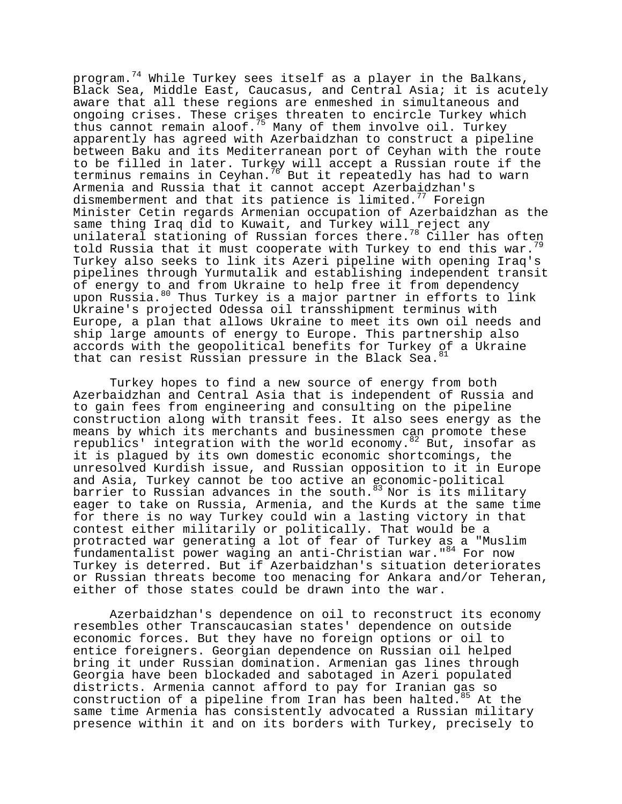program.<sup>74</sup> While Turkey sees itself as a player in the Balkans, Black Sea, Middle East, Caucasus, and Central Asia; it is acutely aware that all these regions are enmeshed in simultaneous and ongoing crises. These crises threaten to encircle Turkey which thus cannot remain aloof.<sup>75</sup> Many of them involve oil. Turkey apparently has agreed with Azerbaidzhan to construct a pipeline between Baku and its Mediterranean port of Ceyhan with the route to be filled in later. Turkey will accept a Russian route if the terminus remains in Ceyhan.<sup>76</sup> But it repeatedly has had to warn Armenia and Russia that it cannot accept Azerbaidzhan's dismemberment and that its patience is limited.<sup>77</sup> Foreign Minister Cetin regards Armenian occupation of Azerbaidzhan as the same thing Iraq did to Kuwait, and Turkey will reject any unilateral stationing of Russian forces there.78 Ciller has often told Russia that it must cooperate with Turkey to end this war.<sup>79</sup> Turkey also seeks to link its Azeri pipeline with opening Iraq's pipelines through Yurmutalik and establishing independent transit of energy to and from Ukraine to help free it from dependency upon Russia.<sup>80</sup> Thus Turkey is a major partner in efforts to link Ukraine's projected Odessa oil transshipment terminus with Europe, a plan that allows Ukraine to meet its own oil needs and ship large amounts of energy to Europe. This partnership also accords with the geopolitical benefits for Turkey of a Ukraine that can resist Russian pressure in the Black Sea.<sup>81</sup>

Turkey hopes to find a new source of energy from both Azerbaidzhan and Central Asia that is independent of Russia and to gain fees from engineering and consulting on the pipeline construction along with transit fees. It also sees energy as the means by which its merchants and businessmen can promote these republics' integration with the world economy.<sup>82</sup> But, insofar as it is plagued by its own domestic economic shortcomings, the unresolved Kurdish issue, and Russian opposition to it in Europe and Asia, Turkey cannot be too active an economic-political barrier to Russian advances in the south. $83$  Nor is its military eager to take on Russia, Armenia, and the Kurds at the same time for there is no way Turkey could win a lasting victory in that contest either militarily or politically. That would be a protracted war generating a lot of fear of Turkey as a "Muslim fundamentalist power waging an anti-Christian war."<sup>84</sup> For now Turkey is deterred. But if Azerbaidzhan's situation deteriorates or Russian threats become too menacing for Ankara and/or Teheran, either of those states could be drawn into the war.

Azerbaidzhan's dependence on oil to reconstruct its economy resembles other Transcaucasian states' dependence on outside economic forces. But they have no foreign options or oil to entice foreigners. Georgian dependence on Russian oil helped bring it under Russian domination. Armenian gas lines through Georgia have been blockaded and sabotaged in Azeri populated districts. Armenia cannot afford to pay for Iranian gas so construction of a pipeline from Iran has been halted.<sup>85</sup> At the same time Armenia has consistently advocated a Russian military presence within it and on its borders with Turkey, precisely to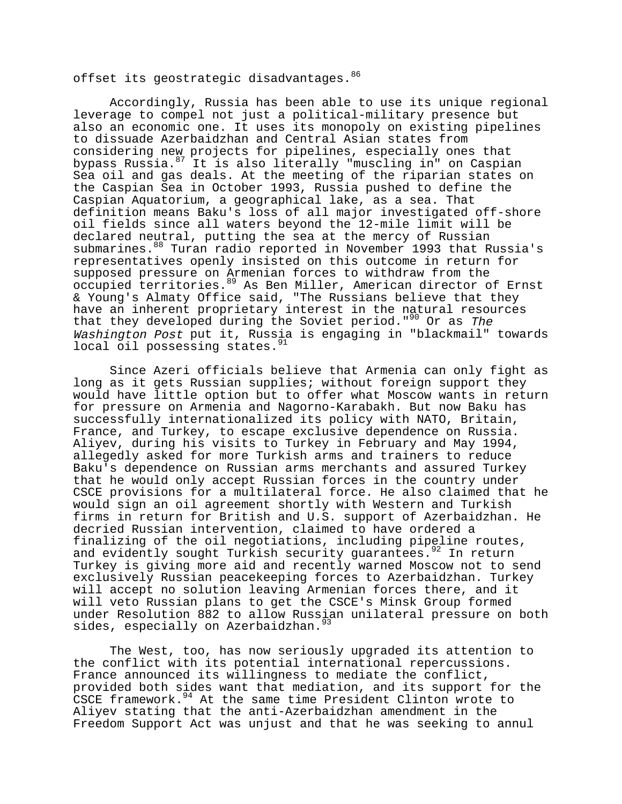offset its geostrategic disadvantages. 86

Accordingly, Russia has been able to use its unique regional leverage to compel not just a political-military presence but also an economic one. It uses its monopoly on existing pipelines to dissuade Azerbaidzhan and Central Asian states from considering new projects for pipelines, especially ones that bypass Russia.87 It is also literally "muscling in" on Caspian Sea oil and gas deals. At the meeting of the riparian states on the Caspian Sea in October 1993, Russia pushed to define the Caspian Aquatorium, a geographical lake, as a sea. That definition means Baku's loss of all major investigated off-shore oil fields since all waters beyond the 12-mile limit will be declared neutral, putting the sea at the mercy of Russian submarines.<sup>88</sup> Turan radio reported in November 1993 that Russia's representatives openly insisted on this outcome in return for supposed pressure on Armenian forces to withdraw from the occupied territories.89 As Ben Miller, American director of Ernst & Young's Almaty Office said, "The Russians believe that they have an inherent proprietary interest in the natural resources that they developed during the Soviet period."<sup>90</sup> Or as The Washington Post put it, Russia is engaging in "blackmail" towards local oil possessing states. <sup>91</sup>

Since Azeri officials believe that Armenia can only fight as long as it gets Russian supplies; without foreign support they would have little option but to offer what Moscow wants in return for pressure on Armenia and Nagorno-Karabakh. But now Baku has successfully internationalized its policy with NATO, Britain, France, and Turkey, to escape exclusive dependence on Russia. Aliyev, during his visits to Turkey in February and May 1994, allegedly asked for more Turkish arms and trainers to reduce Baku's dependence on Russian arms merchants and assured Turkey that he would only accept Russian forces in the country under CSCE provisions for a multilateral force. He also claimed that he would sign an oil agreement shortly with Western and Turkish firms in return for British and U.S. support of Azerbaidzhan. He decried Russian intervention, claimed to have ordered a finalizing of the oil negotiations, including pipeline routes, and evidently sought Turkish security quarantees.<sup>92</sup> In return Turkey is giving more aid and recently warned Moscow not to send exclusively Russian peacekeeping forces to Azerbaidzhan. Turkey will accept no solution leaving Armenian forces there, and it will veto Russian plans to get the CSCE's Minsk Group formed under Resolution 882 to allow Russian unilateral pressure on both sides, especially on Azerbaidzhan.<sup>93</sup>

The West, too, has now seriously upgraded its attention to the conflict with its potential international repercussions. France announced its willingness to mediate the conflict, provided both sides want that mediation, and its support for the CSCE framework. $94$  At the same time President Clinton wrote to Aliyev stating that the anti-Azerbaidzhan amendment in the Freedom Support Act was unjust and that he was seeking to annul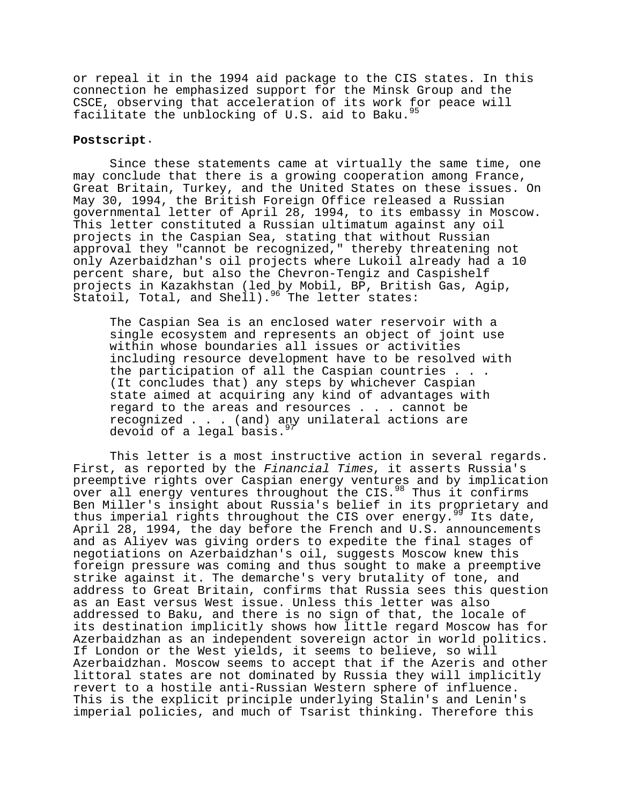or repeal it in the 1994 aid package to the CIS states. In this connection he emphasized support for the Minsk Group and the CSCE, observing that acceleration of its work for peace will facilitate the unblocking of  $U.S.$  aid to Baku.<sup>91</sup>

# **Postscript**.

Since these statements came at virtually the same time, one may conclude that there is a growing cooperation among France, Great Britain, Turkey, and the United States on these issues. On May 30, 1994, the British Foreign Office released a Russian governmental letter of April 28, 1994, to its embassy in Moscow. This letter constituted a Russian ultimatum against any oil projects in the Caspian Sea, stating that without Russian approval they "cannot be recognized," thereby threatening not only Azerbaidzhan's oil projects where Lukoil already had a 10 percent share, but also the Chevron-Tengiz and Caspishelf projects in Kazakhstan (led by Mobil, BP, British Gas, Agip, statoil, Total, and Shell).<sup>96</sup> The letter states:

The Caspian Sea is an enclosed water reservoir with a single ecosystem and represents an object of joint use within whose boundaries all issues or activities including resource development have to be resolved with the participation of all the Caspian countries . . . (It concludes that) any steps by whichever Caspian state aimed at acquiring any kind of advantages with regard to the areas and resources . . . cannot be recognized . . . (and) any unilateral actions are devoid of a legal basis. $9^{9}$ 

This letter is a most instructive action in several regards. First, as reported by the Financial Times, it asserts Russia's preemptive rights over Caspian energy ventures and by implication over all energy ventures throughout the CIS.<sup>98</sup> Thus it confirms Ben Miller's insight about Russia's belief in its proprietary and thus imperial rights throughout the CIS over energy.<sup>99</sup> Its date, April 28, 1994, the day before the French and U.S. announcements and as Aliyev was giving orders to expedite the final stages of negotiations on Azerbaidzhan's oil, suggests Moscow knew this foreign pressure was coming and thus sought to make a preemptive strike against it. The demarche's very brutality of tone, and address to Great Britain, confirms that Russia sees this question as an East versus West issue. Unless this letter was also addressed to Baku, and there is no sign of that, the locale of its destination implicitly shows how little regard Moscow has for Azerbaidzhan as an independent sovereign actor in world politics. If London or the West yields, it seems to believe, so will Azerbaidzhan. Moscow seems to accept that if the Azeris and other littoral states are not dominated by Russia they will implicitly revert to a hostile anti-Russian Western sphere of influence. This is the explicit principle underlying Stalin's and Lenin's imperial policies, and much of Tsarist thinking. Therefore this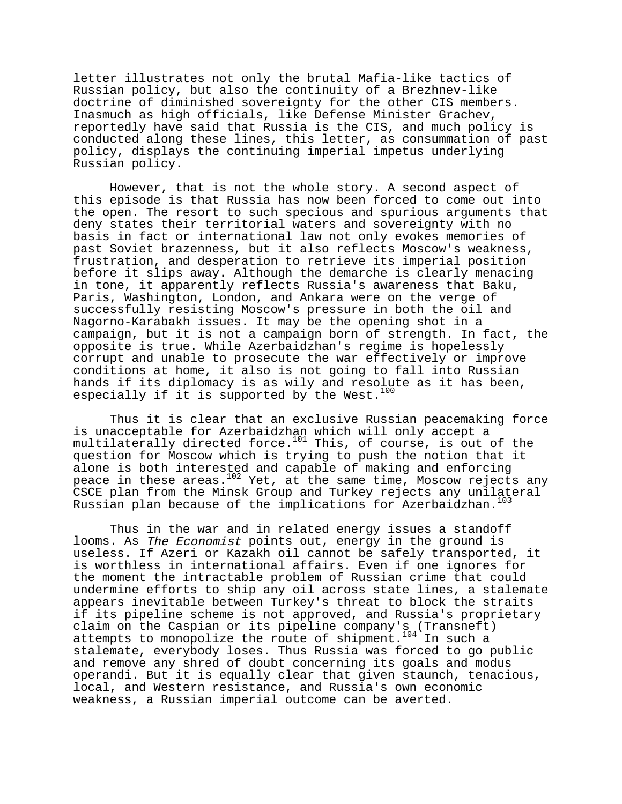letter illustrates not only the brutal Mafia-like tactics of Russian policy, but also the continuity of a Brezhnev-like doctrine of diminished sovereignty for the other CIS members. Inasmuch as high officials, like Defense Minister Grachev, reportedly have said that Russia is the CIS, and much policy is conducted along these lines, this letter, as consummation of past policy, displays the continuing imperial impetus underlying Russian policy.

However, that is not the whole story. A second aspect of this episode is that Russia has now been forced to come out into the open. The resort to such specious and spurious arguments that deny states their territorial waters and sovereignty with no basis in fact or international law not only evokes memories of past Soviet brazenness, but it also reflects Moscow's weakness, frustration, and desperation to retrieve its imperial position before it slips away. Although the demarche is clearly menacing in tone, it apparently reflects Russia's awareness that Baku, Paris, Washington, London, and Ankara were on the verge of successfully resisting Moscow's pressure in both the oil and Nagorno-Karabakh issues. It may be the opening shot in a campaign, but it is not a campaign born of strength. In fact, the opposite is true. While Azerbaidzhan's regime is hopelessly corrupt and unable to prosecute the war effectively or improve conditions at home, it also is not going to fall into Russian hands if its diplomacy is as wily and resolute as it has been, especially if it is supported by the West.<sup>100</sup>

Thus it is clear that an exclusive Russian peacemaking force is unacceptable for Azerbaidzhan which will only accept a multilaterally directed force.<sup>101</sup> This, of course, is out of the question for Moscow which is trying to push the notion that it alone is both interested and capable of making and enforcing peace in these areas. $102$  Yet, at the same time, Moscow rejects any CSCE plan from the Minsk Group and Turkey rejects any unilateral Russian plan because of the implications for Azerbaidzhan.<sup>103</sup>

Thus in the war and in related energy issues a standoff looms. As The Economist points out, energy in the ground is useless. If Azeri or Kazakh oil cannot be safely transported, it is worthless in international affairs. Even if one ignores for the moment the intractable problem of Russian crime that could undermine efforts to ship any oil across state lines, a stalemate appears inevitable between Turkey's threat to block the straits if its pipeline scheme is not approved, and Russia's proprietary claim on the Caspian or its pipeline company's (Transneft) attempts to monopolize the route of shipment.<sup>104</sup> In such a stalemate, everybody loses. Thus Russia was forced to go public and remove any shred of doubt concerning its goals and modus operandi. But it is equally clear that given staunch, tenacious, local, and Western resistance, and Russia's own economic weakness, a Russian imperial outcome can be averted.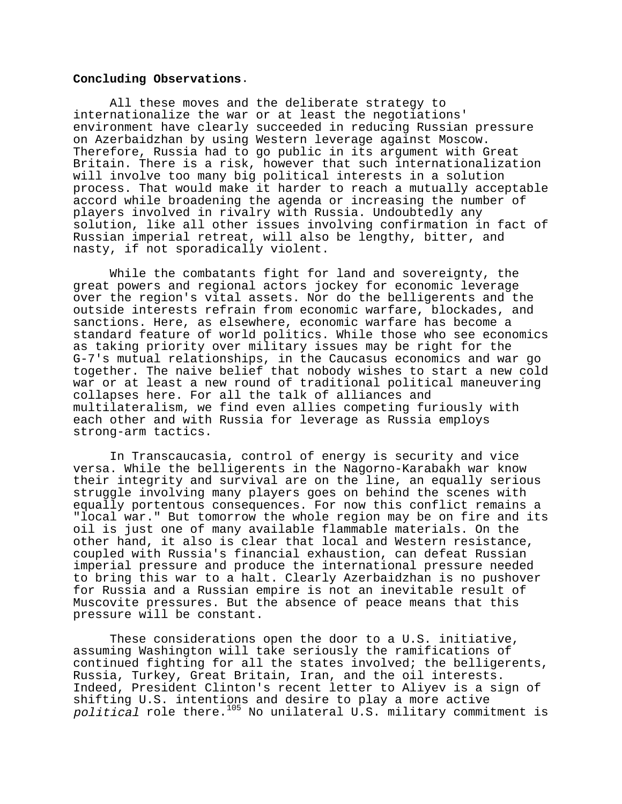## **Concluding Observations**.

All these moves and the deliberate strategy to internationalize the war or at least the negotiations' environment have clearly succeeded in reducing Russian pressure on Azerbaidzhan by using Western leverage against Moscow. Therefore, Russia had to go public in its argument with Great Britain. There is a risk, however that such internationalization will involve too many big political interests in a solution process. That would make it harder to reach a mutually acceptable accord while broadening the agenda or increasing the number of players involved in rivalry with Russia. Undoubtedly any solution, like all other issues involving confirmation in fact of Russian imperial retreat, will also be lengthy, bitter, and nasty, if not sporadically violent.

While the combatants fight for land and sovereignty, the great powers and regional actors jockey for economic leverage over the region's vital assets. Nor do the belligerents and the outside interests refrain from economic warfare, blockades, and sanctions. Here, as elsewhere, economic warfare has become a standard feature of world politics. While those who see economics as taking priority over military issues may be right for the G-7's mutual relationships, in the Caucasus economics and war go together. The naive belief that nobody wishes to start a new cold war or at least a new round of traditional political maneuvering collapses here. For all the talk of alliances and multilateralism, we find even allies competing furiously with each other and with Russia for leverage as Russia employs strong-arm tactics.

In Transcaucasia, control of energy is security and vice versa. While the belligerents in the Nagorno-Karabakh war know their integrity and survival are on the line, an equally serious struggle involving many players goes on behind the scenes with equally portentous consequences. For now this conflict remains a "local war." But tomorrow the whole region may be on fire and its oil is just one of many available flammable materials. On the other hand, it also is clear that local and Western resistance, coupled with Russia's financial exhaustion, can defeat Russian imperial pressure and produce the international pressure needed to bring this war to a halt. Clearly Azerbaidzhan is no pushover for Russia and a Russian empire is not an inevitable result of Muscovite pressures. But the absence of peace means that this pressure will be constant.

These considerations open the door to a U.S. initiative, assuming Washington will take seriously the ramifications of continued fighting for all the states involved; the belligerents, Russia, Turkey, Great Britain, Iran, and the oil interests. Indeed, President Clinton's recent letter to Aliyev is a sign of shifting U.S. intentions and desire to play a more active political role there.<sup>105</sup> No unilateral  $\overline{U}$ .S. military commitment is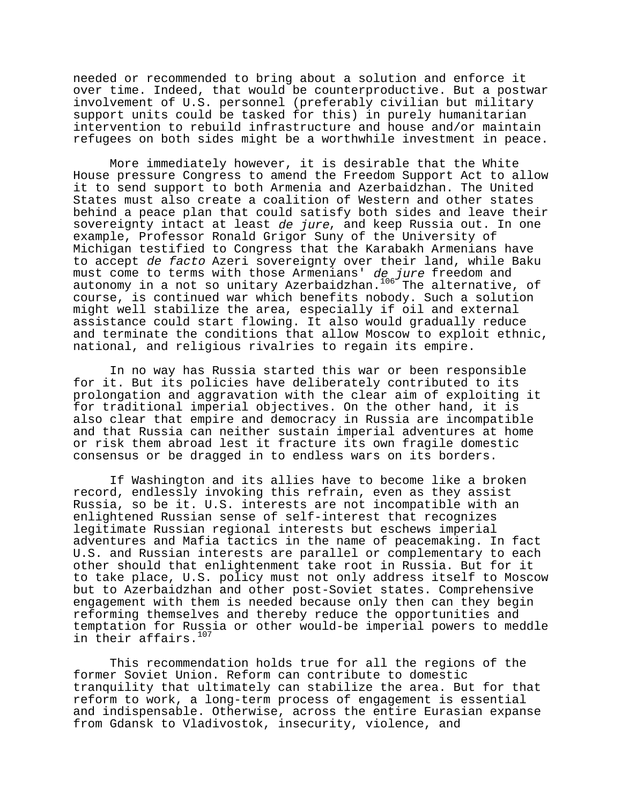needed or recommended to bring about a solution and enforce it over time. Indeed, that would be counterproductive. But a postwar involvement of U.S. personnel (preferably civilian but military support units could be tasked for this) in purely humanitarian intervention to rebuild infrastructure and house and/or maintain refugees on both sides might be a worthwhile investment in peace.

More immediately however, it is desirable that the White House pressure Congress to amend the Freedom Support Act to allow it to send support to both Armenia and Azerbaidzhan. The United States must also create a coalition of Western and other states behind a peace plan that could satisfy both sides and leave their sovereignty intact at least de jure, and keep Russia out. In one example, Professor Ronald Grigor Suny of the University of Michigan testified to Congress that the Karabakh Armenians have to accept de facto Azeri sovereignty over their land, while Baku must come to terms with those Armenians' de jure freedom and autonomy in a not so unitary Azerbaidzhan.<sup>106</sup> The alternative, of course, is continued war which benefits nobody. Such a solution might well stabilize the area, especially if oil and external assistance could start flowing. It also would gradually reduce and terminate the conditions that allow Moscow to exploit ethnic, national, and religious rivalries to regain its empire.

In no way has Russia started this war or been responsible for it. But its policies have deliberately contributed to its prolongation and aggravation with the clear aim of exploiting it for traditional imperial objectives. On the other hand, it is also clear that empire and democracy in Russia are incompatible and that Russia can neither sustain imperial adventures at home or risk them abroad lest it fracture its own fragile domestic consensus or be dragged in to endless wars on its borders.

If Washington and its allies have to become like a broken record, endlessly invoking this refrain, even as they assist Russia, so be it. U.S. interests are not incompatible with an enlightened Russian sense of self-interest that recognizes legitimate Russian regional interests but eschews imperial adventures and Mafia tactics in the name of peacemaking. In fact U.S. and Russian interests are parallel or complementary to each other should that enlightenment take root in Russia. But for it to take place, U.S. policy must not only address itself to Moscow but to Azerbaidzhan and other post-Soviet states. Comprehensive engagement with them is needed because only then can they begin reforming themselves and thereby reduce the opportunities and temptation for Russia or other would-be imperial powers to meddle in their affairs.<sup>107</sup>

This recommendation holds true for all the regions of the former Soviet Union. Reform can contribute to domestic tranquility that ultimately can stabilize the area. But for that reform to work, a long-term process of engagement is essential and indispensable. Otherwise, across the entire Eurasian expanse from Gdansk to Vladivostok, insecurity, violence, and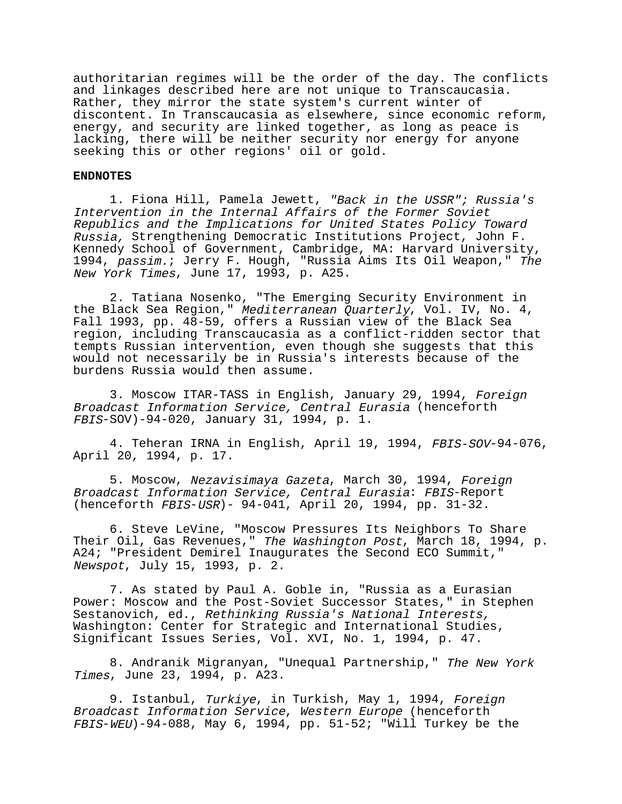authoritarian regimes will be the order of the day. The conflicts and linkages described here are not unique to Transcaucasia. Rather, they mirror the state system's current winter of discontent. In Transcaucasia as elsewhere, since economic reform, energy, and security are linked together, as long as peace is lacking, there will be neither security nor energy for anyone seeking this or other regions' oil or gold.

#### **ENDNOTES**

1. Fiona Hill, Pamela Jewett, "Back in the USSR"; Russia's Intervention in the Internal Affairs of the Former Soviet Republics and the Implications for United States Policy Toward Russia, Strengthening Democratic Institutions Project, John F. Kennedy School of Government, Cambridge, MA: Harvard University, 1994, passim.; Jerry F. Hough, "Russia Aims Its Oil Weapon," The New York Times, June 17, 1993, p. A25.

2. Tatiana Nosenko, "The Emerging Security Environment in the Black Sea Region," Mediterranean Quarterly, Vol. IV, No. 4, Fall 1993, pp. 48-59, offers a Russian view of the Black Sea region, including Transcaucasia as a conflict-ridden sector that tempts Russian intervention, even though she suggests that this would not necessarily be in Russia's interests because of the burdens Russia would then assume.

3. Moscow ITAR-TASS in English, January 29, 1994, Foreign Broadcast Information Service, Central Eurasia (henceforth FBIS-SOV)-94-020, January 31, 1994, p. 1.

4. Teheran IRNA in English, April 19, 1994, FBIS-SOV-94-076, April 20, 1994, p. 17.

5. Moscow, Nezavisimaya Gazeta, March 30, 1994, Foreign Broadcast Information Service, Central Eurasia: FBIS-Report (henceforth FBIS-USR)- 94-041, April 20, 1994, pp. 31-32.

6. Steve LeVine, "Moscow Pressures Its Neighbors To Share Their Oil, Gas Revenues," The Washington Post, March 18, 1994, p. A24; "President Demirel Inaugurates the Second ECO Summit," Newspot, July 15, 1993, p. 2.

7. As stated by Paul A. Goble in, "Russia as a Eurasian Power: Moscow and the Post-Soviet Successor States," in Stephen Sestanovich, ed., Rethinking Russia's National Interests, Washington: Center for Strategic and International Studies, Significant Issues Series, Vol. XVI, No. 1, 1994, p. 47.

8. Andranik Migranyan, "Unequal Partnership," The New York Times, June 23, 1994, p. A23.

9. Istanbul, Turkiye, in Turkish, May 1, 1994, Foreign Broadcast Information Service, Western Europe (henceforth FBIS-WEU)-94-088, May 6, 1994, pp. 51-52; "Will Turkey be the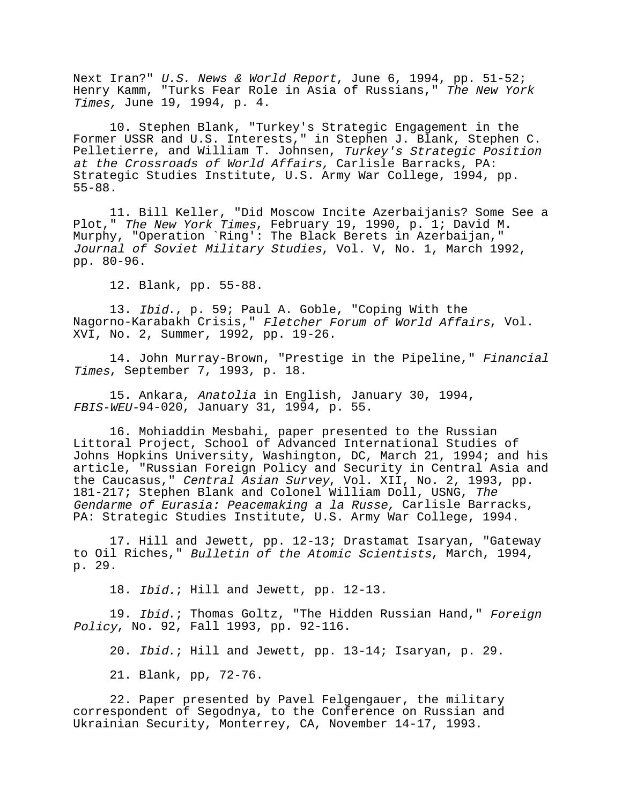Next Iran?" U.S. News & World Report, June 6, 1994, pp. 51-52; Henry Kamm, "Turks Fear Role in Asia of Russians," The New York Times, June 19, 1994, p. 4.

10. Stephen Blank, "Turkey's Strategic Engagement in the Former USSR and U.S. Interests," in Stephen J. Blank, Stephen C. Pelletierre, and William T. Johnsen, Turkey's Strategic Position at the Crossroads of World Affairs, Carlisle Barracks, PA: Strategic Studies Institute, U.S. Army War College, 1994, pp. 55-88.

11. Bill Keller, "Did Moscow Incite Azerbaijanis? Some See a Plot," The New York Times, February 19, 1990, p. 1; David M. Murphy, "Operation `Ring': The Black Berets in Azerbaijan," Journal of Soviet Military Studies, Vol. V, No. 1, March 1992, pp. 80-96.

12. Blank, pp. 55-88.

13. Ibid., p. 59; Paul A. Goble, "Coping With the Nagorno-Karabakh Crisis," Fletcher Forum of World Affairs, Vol. XVI, No. 2, Summer, 1992, pp. 19-26.

14. John Murray-Brown, "Prestige in the Pipeline," Financial Times, September 7, 1993, p. 18.

15. Ankara, Anatolia in English, January 30, 1994, FBIS-WEU-94-020, January 31, 1994, p. 55.

16. Mohiaddin Mesbahi, paper presented to the Russian Littoral Project, School of Advanced International Studies of Johns Hopkins University, Washington, DC, March 21, 1994; and his article, "Russian Foreign Policy and Security in Central Asia and the Caucasus," Central Asian Survey, Vol. XII, No. 2, 1993, pp. 181-217; Stephen Blank and Colonel William Doll, USNG, The Gendarme of Eurasia: Peacemaking a la Russe, Carlisle Barracks, PA: Strategic Studies Institute, U.S. Army War College, 1994.

17. Hill and Jewett, pp. 12-13; Drastamat Isaryan, "Gateway to Oil Riches," Bulletin of the Atomic Scientists, March, 1994, p. 29.

18. Ibid.; Hill and Jewett, pp. 12-13.

19. Ibid.; Thomas Goltz, "The Hidden Russian Hand," Foreign Policy, No. 92, Fall 1993, pp. 92-116.

20. Ibid.; Hill and Jewett, pp. 13-14; Isaryan, p. 29.

21. Blank, pp, 72-76.

22. Paper presented by Pavel Felgengauer, the military correspondent of Segodnya, to the Conference on Russian and Ukrainian Security, Monterrey, CA, November 14-17, 1993.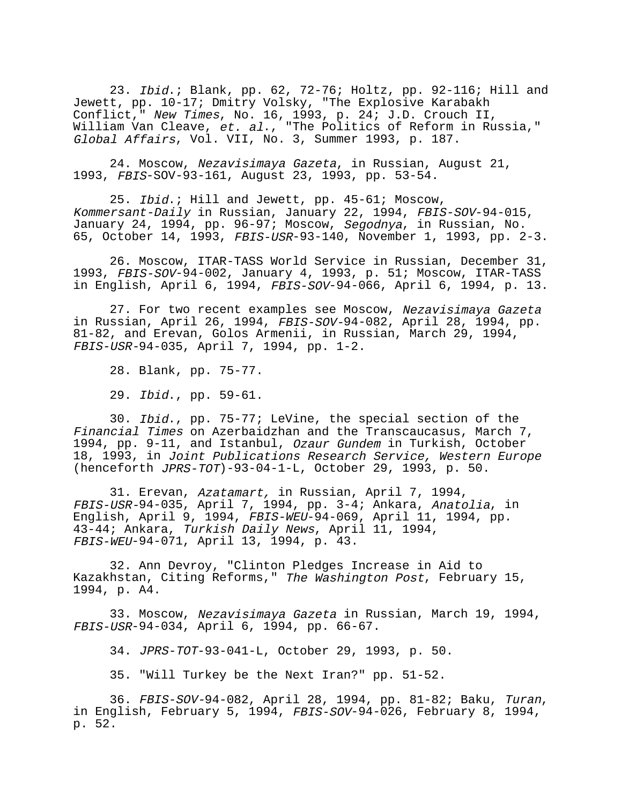23. Ibid.; Blank, pp. 62, 72-76; Holtz, pp. 92-116; Hill and Jewett, pp. 10-17; Dmitry Volsky, "The Explosive Karabakh Conflict," New Times, No. 16, 1993, p. 24; J.D. Crouch II, William Van Cleave, et. al., "The Politics of Reform in Russia," Global Affairs, Vol. VII, No. 3, Summer 1993, p. 187.

24. Moscow, Nezavisimaya Gazeta, in Russian, August 21, 1993, FBIS-SOV-93-161, August 23, 1993, pp. 53-54.

25. Ibid.; Hill and Jewett, pp. 45-61; Moscow, Kommersant-Daily in Russian, January 22, 1994, FBIS-SOV-94-015, January 24, 1994, pp. 96-97; Moscow, Segodnya, in Russian, No. 65, October 14, 1993, FBIS-USR-93-140, November 1, 1993, pp. 2-3.

26. Moscow, ITAR-TASS World Service in Russian, December 31, 1993, FBIS-SOV-94-002, January 4, 1993, p. 51; Moscow, ITAR-TASS in English, April 6, 1994, FBIS-SOV-94-066, April 6, 1994, p. 13.

27. For two recent examples see Moscow, Nezavisimaya Gazeta in Russian, April 26, 1994, FBIS-SOV-94-082, April 28, 1994, pp. 81-82, and Erevan, Golos Armenii, in Russian, March 29, 1994, FBIS-USR-94-035, April 7, 1994, pp. 1-2.

28. Blank, pp. 75-77.

29. Ibid., pp. 59-61.

30. Ibid., pp. 75-77; LeVine, the special section of the Financial Times on Azerbaidzhan and the Transcaucasus, March 7, 1994, pp. 9-11, and Istanbul, Ozaur Gundem in Turkish, October 18, 1993, in Joint Publications Research Service, Western Europe (henceforth JPRS-TOT)-93-04-1-L, October 29, 1993, p. 50.

31. Erevan, Azatamart, in Russian, April 7, 1994, FBIS-USR-94-035, April 7, 1994, pp. 3-4; Ankara, Anatolia, in English, April 9, 1994, FBIS-WEU-94-069, April 11, 1994, pp. 43-44; Ankara, Turkish Daily News, April 11, 1994, FBIS-WEU-94-071, April 13, 1994, p. 43.

32. Ann Devroy, "Clinton Pledges Increase in Aid to Kazakhstan, Citing Reforms," The Washington Post, February 15, 1994, p. A4.

33. Moscow, Nezavisimaya Gazeta in Russian, March 19, 1994, FBIS-USR-94-034, April 6, 1994, pp. 66-67.

34. JPRS-TOT-93-041-L, October 29, 1993, p. 50.

35. "Will Turkey be the Next Iran?" pp. 51-52.

36. FBIS-SOV-94-082, April 28, 1994, pp. 81-82; Baku, Turan, in English, February 5, 1994, FBIS-SOV-94-026, February 8, 1994, p. 52.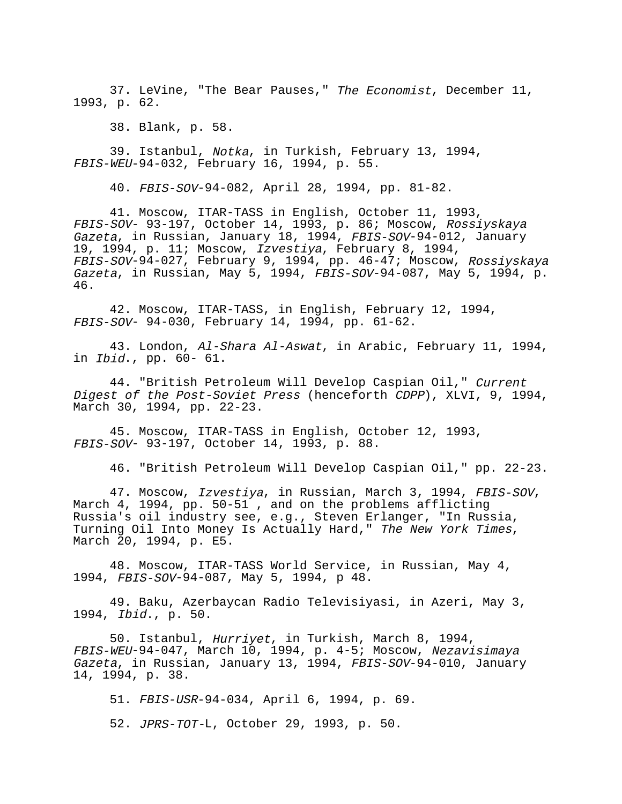37. LeVine, "The Bear Pauses," The Economist, December 11, 1993, p. 62.

38. Blank, p. 58.

39. Istanbul, Notka, in Turkish, February 13, 1994, FBIS-WEU-94-032, February 16, 1994, p. 55.

40. FBIS-SOV-94-082, April 28, 1994, pp. 81-82.

41. Moscow, ITAR-TASS in English, October 11, 1993, FBIS-SOV- 93-197, October 14, 1993, p. 86; Moscow, Rossiyskaya Gazeta, in Russian, January 18, 1994, FBIS-SOV-94-012, January 19, 1994, p. 11; Moscow, Izvestiya, February 8, 1994, FBIS-SOV-94-027, February 9, 1994, pp. 46-47; Moscow, Rossiyskaya Gazeta, in Russian, May 5, 1994, FBIS-SOV-94-087, May 5, 1994, p. 46.

42. Moscow, ITAR-TASS, in English, February 12, 1994, FBIS-SOV- 94-030, February 14, 1994, pp. 61-62.

43. London, Al-Shara Al-Aswat, in Arabic, February 11, 1994, in Ibid., pp. 60- 61.

44. "British Petroleum Will Develop Caspian Oil," Current Digest of the Post-Soviet Press (henceforth CDPP), XLVI, 9, 1994, March 30, 1994, pp. 22-23.

45. Moscow, ITAR-TASS in English, October 12, 1993, FBIS-SOV- 93-197, October 14, 1993, p. 88.

46. "British Petroleum Will Develop Caspian Oil," pp. 22-23.

47. Moscow, Izvestiya, in Russian, March 3, 1994, FBIS-SOV, March 4, 1994, pp. 50-51, and on the problems afflicting Russia's oil industry see, e.g., Steven Erlanger, "In Russia, Turning Oil Into Money Is Actually Hard," The New York Times,<br>March 20, 1994, p. E5.

48. Moscow, ITAR-TASS World Service, in Russian, May 4, 1994, FBIS-SOV-94-087, May 5, 1994, p 48.

49. Baku, Azerbaycan Radio Televisiyasi, in Azeri, May 3, 1994, Ibid., p. 50.

50. Istanbul, Hurriyet, in Turkish, March 8, 1994, FBIS-WEU-94-047, March 10, 1994, p. 4-5; Moscow, Nezavisimaya Gazeta, in Russian, January 13, 1994, FBIS-SOV-94-010, January 14, 1994, p. 38.

51. FBIS-USR-94-034, April 6, 1994, p. 69. 52. JPRS-TOT-L, October 29, 1993, p. 50.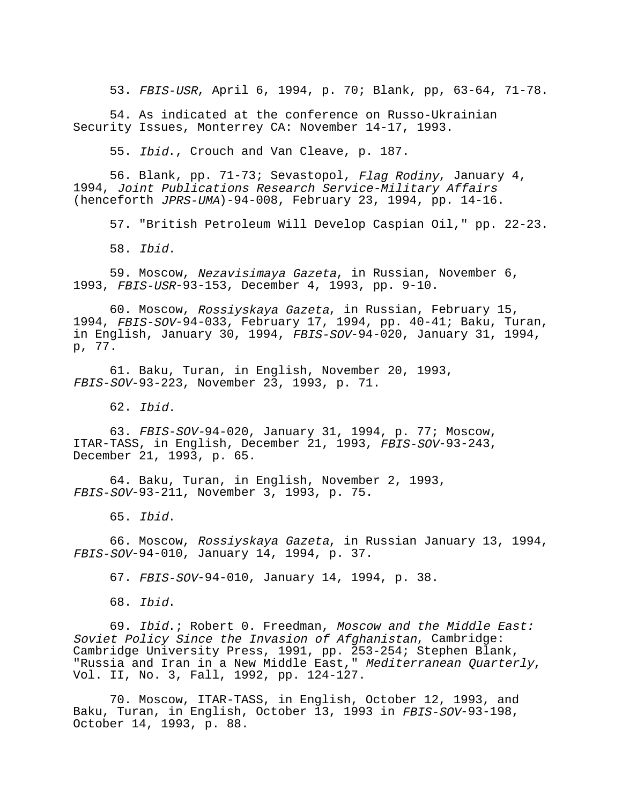53. FBIS-USR, April 6, 1994, p. 70; Blank, pp, 63-64, 71-78.

54. As indicated at the conference on Russo-Ukrainian Security Issues, Monterrey CA: November 14-17, 1993.

55. Ibid., Crouch and Van Cleave, p. 187.

56. Blank, pp. 71-73; Sevastopol, Flag Rodiny, January 4, 1994, Joint Publications Research Service-Military Affairs (henceforth JPRS-UMA)-94-008, February 23, 1994, pp. 14-16.

57. "British Petroleum Will Develop Caspian Oil," pp. 22-23.

58. Ibid.

59. Moscow, Nezavisimaya Gazeta, in Russian, November 6, 1993, FBIS-USR-93-153, December 4, 1993, pp. 9-10.

60. Moscow, Rossiyskaya Gazeta, in Russian, February 15, 1994, FBIS-SOV-94-033, February 17, 1994, pp. 40-41; Baku, Turan, in English, January 30, 1994, FBIS-SOV-94-020, January 31, 1994, p, 77.

61. Baku, Turan, in English, November 20, 1993, FBIS-SOV-93-223, November 23, 1993, p. 71.

62. Ibid.

63. FBIS-SOV-94-020, January 31, 1994, p. 77; Moscow, ITAR-TASS, in English, December 21, 1993, FBIS-SOV-93-243, December 21, 1993, p. 65.

64. Baku, Turan, in English, November 2, 1993, FBIS-SOV-93-211, November 3, 1993, p. 75.

65. Ibid.

66. Moscow, Rossiyskaya Gazeta, in Russian January 13, 1994, FBIS-SOV-94-010, January 14, 1994, p. 37.

67. FBIS-SOV-94-010, January 14, 1994, p. 38.

68. Ibid.

69. Ibid.; Robert 0. Freedman, Moscow and the Middle East: Soviet Policy Since the Invasion of Afghanistan, Cambridge: Cambridge University Press, 1991, pp. 253-254; Stephen Blank, "Russia and Iran in a New Middle East," *Mediterranean Quarterly,*<br>Vol. II, No. 3, Fall, 1992, pp. 124-127.

70. Moscow, ITAR-TASS, in English, October 12, 1993, and Baku, Turan, in English, October 13, 1993 in FBIS-SOV-93-198, October 14, 1993, p. 88.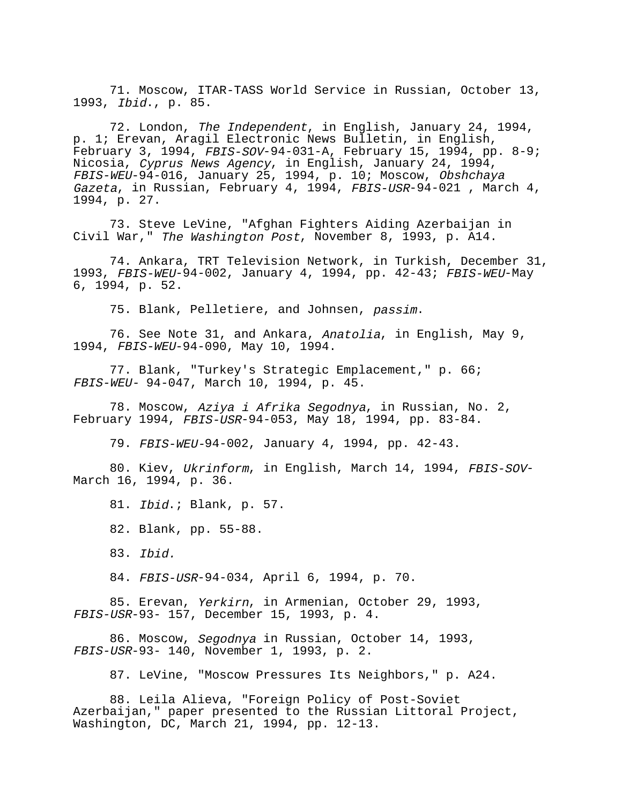71. Moscow, ITAR-TASS World Service in Russian, October 13, 1993, Ibid., p. 85.

72. London, The Independent, in English, January 24, 1994, p. 1; Erevan, Aragil Electronic News Bulletin, in English, February 3, 1994, FBIS-SOV-94-031-A, February 15, 1994, pp. 8-9; Nicosia, Cyprus News Agency, in English, January 24, 1994, FBIS-WEU-94-016, January 25, 1994, p. 10; Moscow, Obshchaya Gazeta, in Russian, February 4, 1994, FBIS-USR-94-021, March 4, 1994, p. 27.

73. Steve LeVine, "Afghan Fighters Aiding Azerbaijan in Civil War," The Washington Post, November 8, 1993, p. A14.

74. Ankara, TRT Television Network, in Turkish, December 31, 1993, FBIS-WEU-94-002, January 4, 1994, pp. 42-43; FBIS-WEU-May 6, 1994, p. 52.

75. Blank, Pelletiere, and Johnsen, passim.

76. See Note 31, and Ankara, Anatolia, in English, May 9, 1994, FBIS-WEU-94-090, May 10, 1994.

77. Blank, "Turkey's Strategic Emplacement," p. 66; FBIS-WEU- 94-047, March 10, 1994, p. 45.

78. Moscow, Aziya i Afrika Segodnya, in Russian, No. 2, February 1994, FBIS-USR-94-053, May 18, 1994, pp. 83-84.

79. FBIS-WEU-94-002, January 4, 1994, pp. 42-43.

80. Kiev, Ukrinform, in English, March 14, 1994, FBIS-SOV-March 16, 1994, p. 36.

81. Ibid.; Blank, p. 57.

82. Blank, pp. 55-88.

84. FBIS-USR-94-034, April 6, 1994, p. 70.

85. Erevan, Yerkirn, in Armenian, October 29, 1993, FBIS-USR-93- 157, December 15, 1993, p. 4.

86. Moscow, Segodnya in Russian, October 14, 1993, FBIS-USR-93- 140, November 1, 1993, p. 2.

87. LeVine, "Moscow Pressures Its Neighbors," p. A24.

88. Leila Alieva, "Foreign Policy of Post-Soviet Azerbaijan," paper presented to the Russian Littoral Project, Washington, DC, March 21, 1994, pp. 12-13.

<sup>83.</sup> Ibid.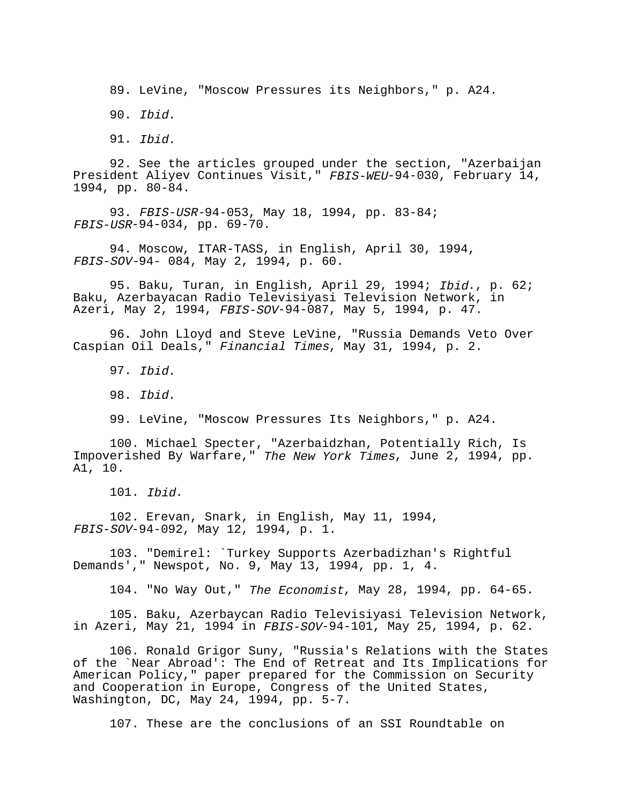89. LeVine, "Moscow Pressures its Neighbors," p. A24.

90. Ibid.

91. Ibid.

92. See the articles grouped under the section, "Azerbaijan President Aliyev Continues Visit," FBIS-WEU-94-030, February 14, 1994, pp. 80-84.

93. FBIS-USR-94-053, May 18, 1994, pp. 83-84; FBIS-USR-94-034, pp. 69-70.

94. Moscow, ITAR-TASS, in English, April 30, 1994, FBIS-SOV-94- 084, May 2, 1994, p. 60.

95. Baku, Turan, in English, April 29, 1994; Ibid., p. 62; Baku, Azerbayacan Radio Televisiyasi Television Network, in Azeri, May 2, 1994, FBIS-SOV-94-087, May 5, 1994, p. 47.

96. John Lloyd and Steve LeVine, "Russia Demands Veto Over Caspian Oil Deals," Financial Times, May 31, 1994, p. 2.

97. Ibid.

98. Ibid.

99. LeVine, "Moscow Pressures Its Neighbors," p. A24.

100. Michael Specter, "Azerbaidzhan, Potentially Rich, Is Impoverished By Warfare," The New York Times, June 2, 1994, pp. A1, 10.

101. Ibid.

102. Erevan, Snark, in English, May 11, 1994, FBIS-SOV-94-092, May 12, 1994, p. 1.

103. "Demirel: `Turkey Supports Azerbadizhan's Rightful Demands'," Newspot, No. 9, May 13, 1994, pp. 1, 4.

104. "No Way Out," The Economist, May 28, 1994, pp. 64-65.

105. Baku, Azerbaycan Radio Televisiyasi Television Network, in Azeri, May 21, 1994 in FBIS-SOV-94-101, May 25, 1994, p. 62.

106. Ronald Grigor Suny, "Russia's Relations with the States of the `Near Abroad': The End of Retreat and Its Implications for American Policy," paper prepared for the Commission on Security and Cooperation in Europe, Congress of the United States, Washington, DC, May 24, 1994, pp. 5-7.

107. These are the conclusions of an SSI Roundtable on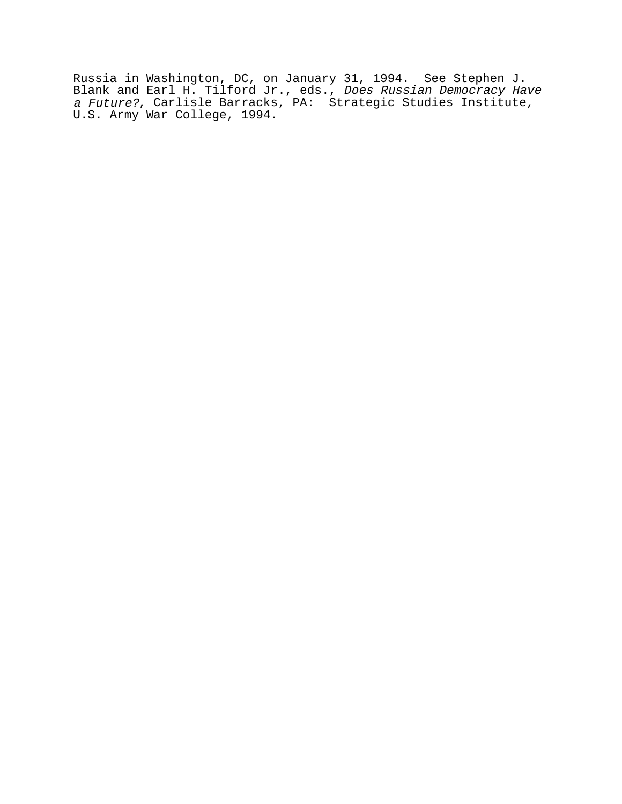Russia in Washington, DC, on January 31, 1994. See Stephen J. Blank and Earl H. Tilford Jr., eds., *Does Russian Democracy Have* a Future?, Carlisle Barracks, PA: Strategic Studies Institute, U.S. Army War College, 1994.